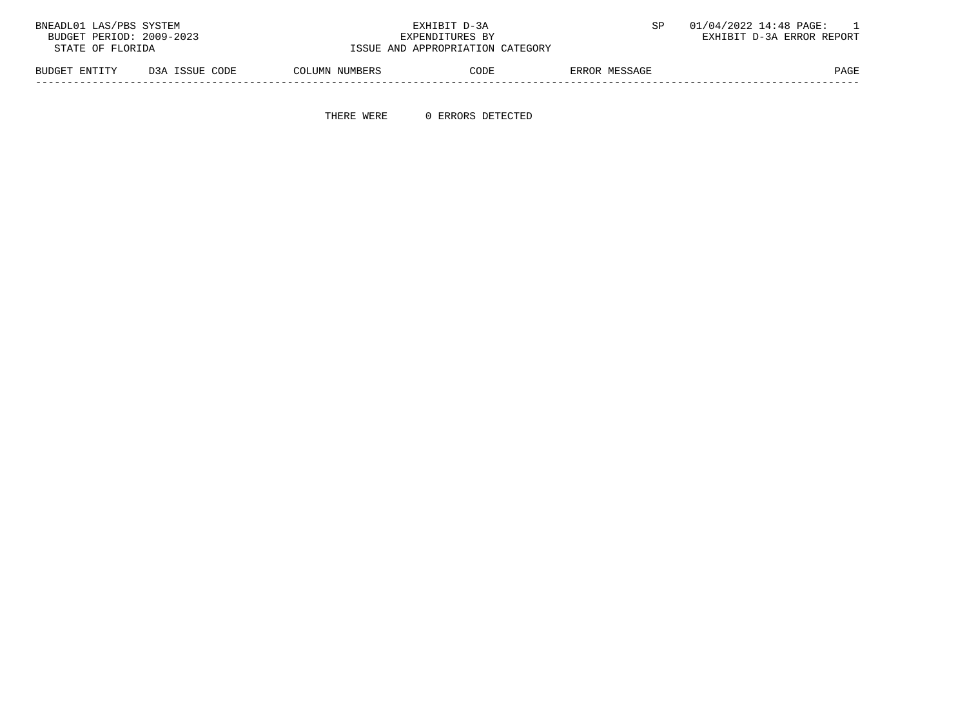| BNEADL01 LAS/PBS SYSTEM<br>BUDGET PERIOD: 2009-2023<br>STATE OF FLORIDA |                | EXHIBIT D-3A<br>EXPENDITURES BY<br>ISSUE AND APPROPRIATION CATEGORY |      | 01/04/2022 14:48 PAGE:<br>EXHIBIT D-3A ERROR REPORT |             |
|-------------------------------------------------------------------------|----------------|---------------------------------------------------------------------|------|-----------------------------------------------------|-------------|
| BUDGET ENTITY                                                           | D3A ISSUE CODE | COLUMN NUMBERS                                                      | CODE | ERROR MESSAGE                                       | <b>PAGE</b> |

THERE WERE 0 ERRORS DETECTED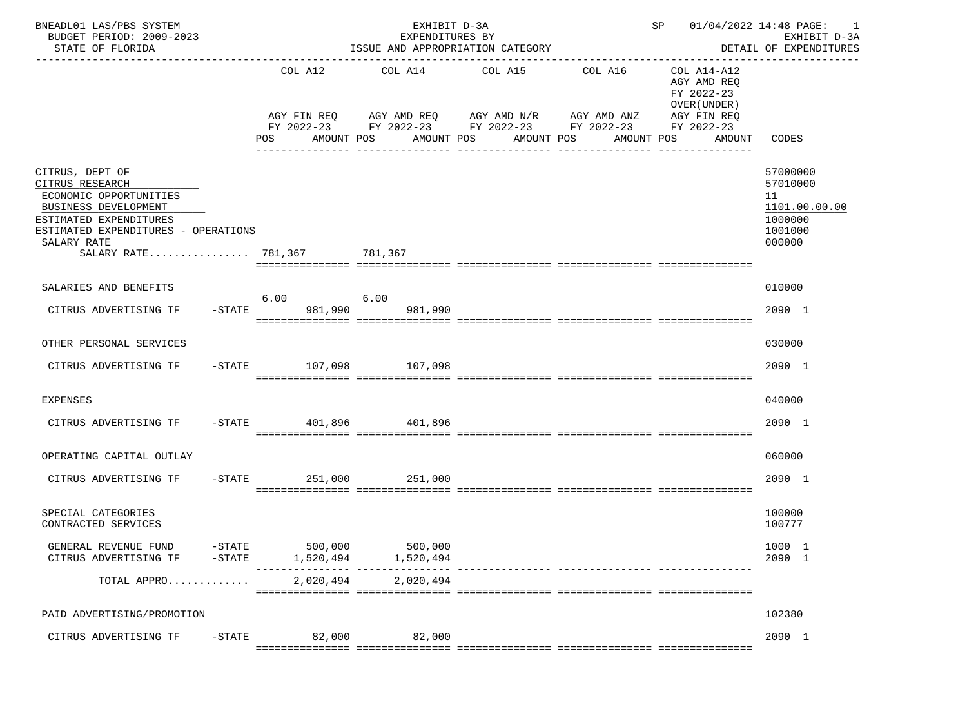| BNEADL01 LAS/PBS SYSTEM<br>BUDGET PERIOD: 2009-2023<br>STATE OF FLORIDA                                                                                                                             | ISSUE AND APPROPRIATION CATEGORY | SP 01/04/2022 14:48 PAGE: 1 | EXHIBIT D-3A<br>DETAIL OF EXPENDITURES                                                     |                               |                                                                         |                                                                             |
|-----------------------------------------------------------------------------------------------------------------------------------------------------------------------------------------------------|----------------------------------|-----------------------------|--------------------------------------------------------------------------------------------|-------------------------------|-------------------------------------------------------------------------|-----------------------------------------------------------------------------|
|                                                                                                                                                                                                     |                                  | COL A12 COL A14 COL A15     | AGY FIN REQ AGY AMD REQ AGY AMD N/R AGY AMD ANZ                                            | COL A16                       | COL A14-A12<br>AGY AMD REQ<br>FY 2022-23<br>OVER (UNDER)<br>AGY FIN REQ |                                                                             |
|                                                                                                                                                                                                     | POS                              |                             | FY 2022-23 FY 2022-23 FY 2022-23 FY 2022-23 FY 2022-23<br>AMOUNT POS AMOUNT POS AMOUNT POS | AMOUNT POS<br>_______________ |                                                                         | AMOUNT CODES                                                                |
| CITRUS, DEPT OF<br>CITRUS RESEARCH<br>ECONOMIC OPPORTUNITIES<br>BUSINESS DEVELOPMENT<br>ESTIMATED EXPENDITURES<br>ESTIMATED EXPENDITURES - OPERATIONS<br>SALARY RATE<br>SALARY RATE 781,367 781,367 |                                  |                             |                                                                                            |                               |                                                                         | 57000000<br>57010000<br>11<br>1101.00.00.00<br>1000000<br>1001000<br>000000 |
| SALARIES AND BENEFITS<br>CITRUS ADVERTISING TF                                                                                                                                                      | 6.00<br>-STATE 981,990 981,990   | 6.00                        |                                                                                            |                               |                                                                         | 010000<br>2090 1                                                            |
| OTHER PERSONAL SERVICES                                                                                                                                                                             |                                  |                             |                                                                                            |                               |                                                                         | 030000                                                                      |
| CITRUS ADVERTISING TF                                                                                                                                                                               | -STATE 107,098 107,098           |                             |                                                                                            |                               |                                                                         | 2090 1                                                                      |
| <b>EXPENSES</b>                                                                                                                                                                                     |                                  |                             |                                                                                            |                               |                                                                         | 040000                                                                      |
| CITRUS ADVERTISING TF                                                                                                                                                                               | -STATE 401,896 401,896           |                             |                                                                                            |                               |                                                                         | 2090 1                                                                      |
| OPERATING CAPITAL OUTLAY                                                                                                                                                                            |                                  |                             |                                                                                            |                               |                                                                         | 060000                                                                      |
| CITRUS ADVERTISING TF                                                                                                                                                                               | -STATE 251,000 251,000           |                             |                                                                                            |                               |                                                                         | 2090 1                                                                      |
| SPECIAL CATEGORIES<br>CONTRACTED SERVICES                                                                                                                                                           |                                  |                             |                                                                                            |                               |                                                                         | 100000<br>100777                                                            |
| GENERAL REVENUE FUND<br>$-STATE$<br>CITRUS ADVERTISING TF<br>$-$ STATE                                                                                                                              | 500,000<br>1,520,494             | 500,000<br>1,520,494        |                                                                                            |                               |                                                                         | 1000 1<br>2090 1                                                            |
| TOTAL APPRO                                                                                                                                                                                         | 2,020,494                        | 2,020,494                   |                                                                                            |                               |                                                                         |                                                                             |
| PAID ADVERTISING/PROMOTION                                                                                                                                                                          |                                  |                             |                                                                                            |                               |                                                                         | 102380                                                                      |
| CITRUS ADVERTISING TF<br>$-$ STATE                                                                                                                                                                  | 82,000                           | 82,000                      |                                                                                            |                               |                                                                         | 2090 1                                                                      |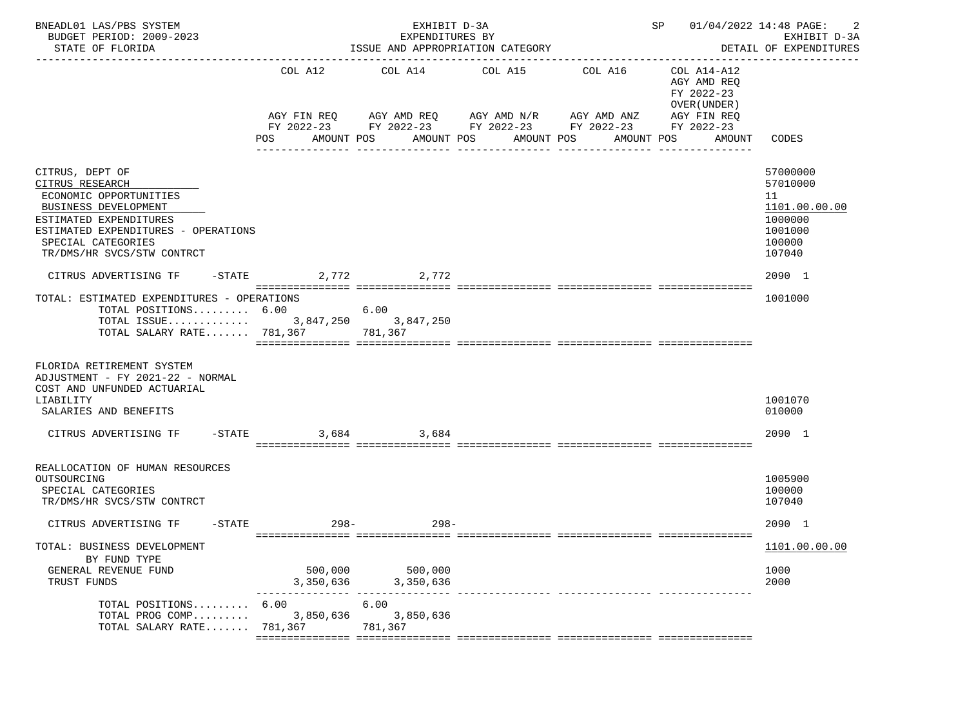| BNEADL01 LAS/PBS SYSTEM<br>BUDGET PERIOD: 2009-2023<br>STATE OF FLORIDA                                                                                                                                                                               |                      | EXHIBIT D-3A<br>EXPENDITURES BY<br>ISSUE AND APPROPRIATION CATEGORY | SP 01/04/2022 14:48 PAGE:                                                                                                    | 2<br>EXHIBIT D-3A<br>DETAIL OF EXPENDITURES |                                                                         |                                                                                       |
|-------------------------------------------------------------------------------------------------------------------------------------------------------------------------------------------------------------------------------------------------------|----------------------|---------------------------------------------------------------------|------------------------------------------------------------------------------------------------------------------------------|---------------------------------------------|-------------------------------------------------------------------------|---------------------------------------------------------------------------------------|
|                                                                                                                                                                                                                                                       | COL A12              |                                                                     | COL A14 COL A15<br>AGY FIN REQ AGY AMD REQ AGY AMD N/R AGY AMD ANZ<br>FY 2022-23 FY 2022-23 FY 2022-23 FY 2022-23 FY 2022-23 | COL A16                                     | COL A14-A12<br>AGY AMD REO<br>FY 2022-23<br>OVER (UNDER)<br>AGY FIN REQ |                                                                                       |
|                                                                                                                                                                                                                                                       | POS                  | AMOUNT POS AMOUNT POS                                               | AMOUNT POS                                                                                                                   |                                             | AMOUNT POS<br>AMOUNT                                                    | CODES                                                                                 |
| CITRUS, DEPT OF<br>CITRUS RESEARCH<br>ECONOMIC OPPORTUNITIES<br>BUSINESS DEVELOPMENT<br>ESTIMATED EXPENDITURES<br>ESTIMATED EXPENDITURES - OPERATIONS<br>SPECIAL CATEGORIES<br>TR/DMS/HR SVCS/STW CONTRCT<br>CITRUS ADVERTISING TF -STATE 2,772 2,772 |                      |                                                                     |                                                                                                                              |                                             |                                                                         | 57000000<br>57010000<br>11<br>1101.00.00.00<br>1000000<br>1001000<br>100000<br>107040 |
| TOTAL: ESTIMATED EXPENDITURES - OPERATIONS<br>TOTAL POSITIONS 6.00<br>TOTAL ISSUE 3,847,250 3,847,250<br>TOTAL SALARY RATE 781,367 781,367                                                                                                            |                      | 6.00                                                                |                                                                                                                              |                                             |                                                                         | 2090 1<br>1001000                                                                     |
| FLORIDA RETIREMENT SYSTEM<br>ADJUSTMENT - FY 2021-22 - NORMAL<br>COST AND UNFUNDED ACTUARIAL<br>LIABILITY<br>SALARIES AND BENEFITS                                                                                                                    |                      |                                                                     |                                                                                                                              |                                             |                                                                         | 1001070<br>010000                                                                     |
| CITRUS ADVERTISING TF                                                                                                                                                                                                                                 | $-$ STATE<br>3,684   | 3,684                                                               |                                                                                                                              |                                             |                                                                         | 2090 1                                                                                |
| REALLOCATION OF HUMAN RESOURCES<br>OUTSOURCING<br>SPECIAL CATEGORIES<br>TR/DMS/HR SVCS/STW CONTRCT                                                                                                                                                    |                      |                                                                     |                                                                                                                              |                                             |                                                                         | 1005900<br>100000<br>107040                                                           |
| CITRUS ADVERTISING TF                                                                                                                                                                                                                                 | $-$ STATE 298 –      | $298 -$                                                             |                                                                                                                              |                                             |                                                                         | 2090 1                                                                                |
| TOTAL: BUSINESS DEVELOPMENT<br>BY FUND TYPE<br>GENERAL REVENUE FUND<br>TRUST FUNDS                                                                                                                                                                    | 500,000              | 500,000<br>3, 350, 636 3, 350, 636                                  |                                                                                                                              |                                             |                                                                         | 1101.00.00.00<br>1000<br>2000                                                         |
| TOTAL POSITIONS 6.00<br>TOTAL PROG COMP<br>TOTAL SALARY RATE                                                                                                                                                                                          | 3,850,636<br>781,367 | 6.00<br>3,850,636<br>781,367                                        |                                                                                                                              |                                             |                                                                         |                                                                                       |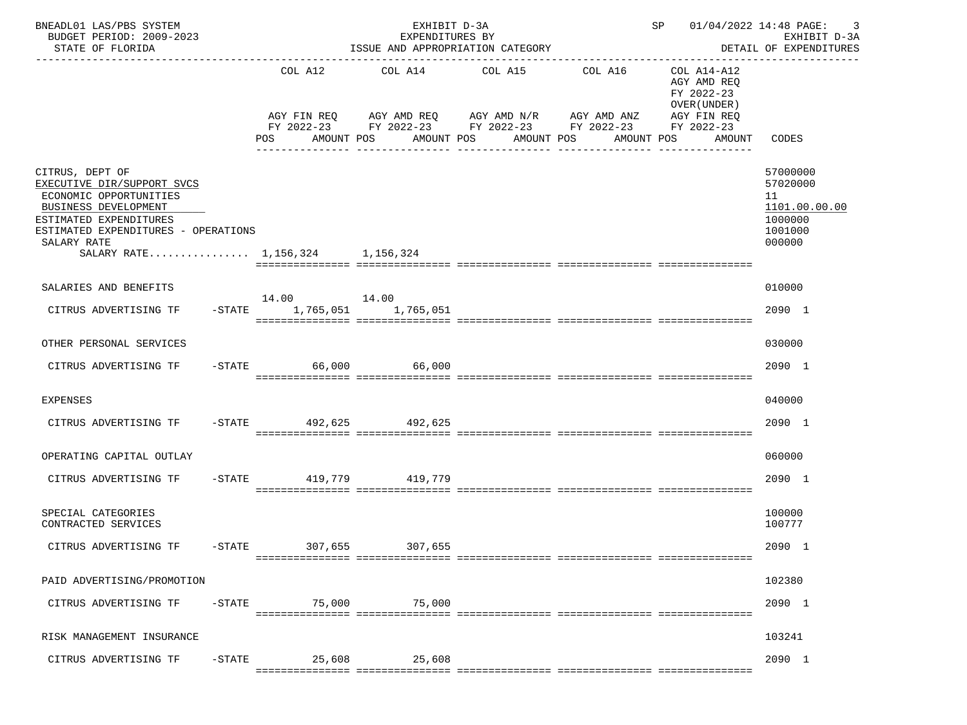| BNEADL01 LAS/PBS SYSTEM<br>BUDGET PERIOD: 2009-2023<br>STATE OF FLORIDA                                                                                                                                            |           | EXHIBIT D-3A<br>SP 01/04/2022 14:48 PAGE:<br>EXPENDITURES BY<br>ISSUE AND APPROPRIATION CATEGORY<br>DETAIL OF EXPENDITURES |         |                                                                                                                                                                                                                     |                         |                                                                                                                 |                                                                             |  |  |  |  |
|--------------------------------------------------------------------------------------------------------------------------------------------------------------------------------------------------------------------|-----------|----------------------------------------------------------------------------------------------------------------------------|---------|---------------------------------------------------------------------------------------------------------------------------------------------------------------------------------------------------------------------|-------------------------|-----------------------------------------------------------------------------------------------------------------|-----------------------------------------------------------------------------|--|--|--|--|
|                                                                                                                                                                                                                    |           | COL A12<br>POS                                                                                                             |         | COL A14 COL A15<br>AGY FIN REQ AGY AMD REQ AGY AMD N/R AGY AMD ANZ<br>FY 2022-23 FY 2022-23 FY 2022-23 FY 2022-23 FY 2022-23<br>AMOUNT POS      AMOUNT POS     AMOUNT POS<br>______________________________________ | COL A16<br>------------ | COL A14-A12<br>AGY AMD REQ<br>FY 2022-23<br>OVER (UNDER)<br>AGY FIN REQ<br>AMOUNT POS AMOUNT<br>--------------- | CODES                                                                       |  |  |  |  |
| CITRUS, DEPT OF<br>EXECUTIVE DIR/SUPPORT SVCS<br>ECONOMIC OPPORTUNITIES<br>BUSINESS DEVELOPMENT<br>ESTIMATED EXPENDITURES<br>ESTIMATED EXPENDITURES - OPERATIONS<br>SALARY RATE<br>SALARY RATE 1,156,324 1,156,324 |           |                                                                                                                            |         |                                                                                                                                                                                                                     |                         |                                                                                                                 | 57000000<br>57020000<br>11<br>1101.00.00.00<br>1000000<br>1001000<br>000000 |  |  |  |  |
| SALARIES AND BENEFITS                                                                                                                                                                                              |           |                                                                                                                            |         |                                                                                                                                                                                                                     |                         |                                                                                                                 | 010000                                                                      |  |  |  |  |
| CITRUS ADVERTISING TF                                                                                                                                                                                              |           | -STATE 1,765,051 1,765,051                                                                                                 |         |                                                                                                                                                                                                                     |                         |                                                                                                                 | 2090 1                                                                      |  |  |  |  |
| OTHER PERSONAL SERVICES                                                                                                                                                                                            |           |                                                                                                                            |         |                                                                                                                                                                                                                     |                         |                                                                                                                 | 030000                                                                      |  |  |  |  |
| CITRUS ADVERTISING TF                                                                                                                                                                                              |           | $-STATE$ 66,000 66,000                                                                                                     |         |                                                                                                                                                                                                                     |                         |                                                                                                                 | 2090 1                                                                      |  |  |  |  |
| <b>EXPENSES</b>                                                                                                                                                                                                    |           |                                                                                                                            |         |                                                                                                                                                                                                                     |                         |                                                                                                                 | 040000                                                                      |  |  |  |  |
| CITRUS ADVERTISING TF                                                                                                                                                                                              |           | -STATE 492,625 492,625                                                                                                     |         |                                                                                                                                                                                                                     |                         |                                                                                                                 | 2090 1                                                                      |  |  |  |  |
| OPERATING CAPITAL OUTLAY                                                                                                                                                                                           |           |                                                                                                                            |         |                                                                                                                                                                                                                     |                         |                                                                                                                 | 060000                                                                      |  |  |  |  |
| CITRUS ADVERTISING TF                                                                                                                                                                                              |           | -STATE 419,779 419,779                                                                                                     |         |                                                                                                                                                                                                                     |                         |                                                                                                                 | 2090 1                                                                      |  |  |  |  |
| SPECIAL CATEGORIES<br>CONTRACTED SERVICES                                                                                                                                                                          |           |                                                                                                                            |         |                                                                                                                                                                                                                     |                         |                                                                                                                 | 100000<br>100777                                                            |  |  |  |  |
| CITRUS ADVERTISING TF                                                                                                                                                                                              | -STATE    | 307,655                                                                                                                    | 307,655 |                                                                                                                                                                                                                     |                         |                                                                                                                 | 2090 1                                                                      |  |  |  |  |
| PAID ADVERTISING/PROMOTION                                                                                                                                                                                         |           |                                                                                                                            |         |                                                                                                                                                                                                                     |                         |                                                                                                                 | 102380                                                                      |  |  |  |  |
| CITRUS ADVERTISING TF                                                                                                                                                                                              | $-$ STATE | 75,000                                                                                                                     | 75,000  |                                                                                                                                                                                                                     |                         |                                                                                                                 | 2090 1                                                                      |  |  |  |  |
| RISK MANAGEMENT INSURANCE                                                                                                                                                                                          |           |                                                                                                                            |         |                                                                                                                                                                                                                     |                         |                                                                                                                 | 103241                                                                      |  |  |  |  |
| CITRUS ADVERTISING TF                                                                                                                                                                                              | $-$ STATE | 25,608                                                                                                                     | 25,608  |                                                                                                                                                                                                                     |                         |                                                                                                                 | 2090 1                                                                      |  |  |  |  |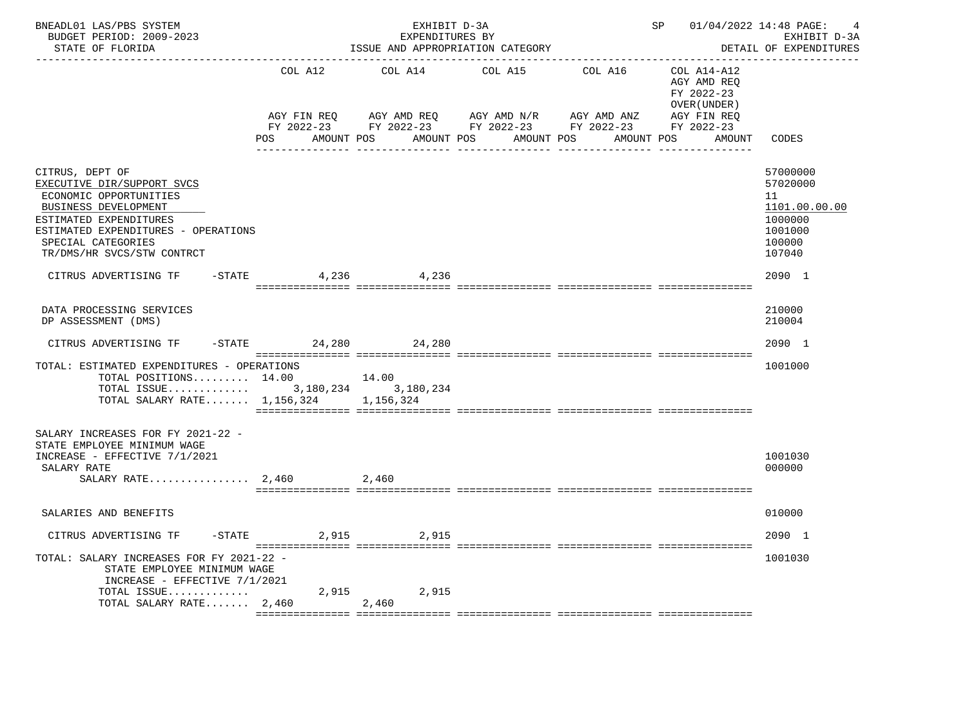| BNEADL01 LAS/PBS SYSTEM<br>BUDGET PERIOD: 2009-2023<br>STATE OF FLORIDA                                                                                                                                              |                      | EXHIBIT D-3A<br>EXPENDITURES BY | ISSUE AND APPROPRIATION CATEGORY                                                                                                                                            |         | SP 01/04/2022 14:48 PAGE:                                | 4<br>EXHIBIT D-3A<br>DETAIL OF EXPENDITURES                                           |
|----------------------------------------------------------------------------------------------------------------------------------------------------------------------------------------------------------------------|----------------------|---------------------------------|-----------------------------------------------------------------------------------------------------------------------------------------------------------------------------|---------|----------------------------------------------------------|---------------------------------------------------------------------------------------|
|                                                                                                                                                                                                                      |                      | COL A12 COL A14                 | COL A15                                                                                                                                                                     | COL A16 | COL A14-A12<br>AGY AMD REQ<br>FY 2022-23<br>OVER (UNDER) |                                                                                       |
|                                                                                                                                                                                                                      | POS FOR              |                                 | AGY FIN REQ       AGY AMD REQ       AGY AMD N/R        AGY AMD ANZ<br>FY 2022-23 FY 2022-23 FY 2022-23 FY 2022-23 FY 2022-23<br>AMOUNT POS AMOUNT POS AMOUNT POS AMOUNT POS |         | AGY FIN REQ<br>AMOUNT CODES                              |                                                                                       |
| CITRUS, DEPT OF<br>EXECUTIVE DIR/SUPPORT SVCS<br>ECONOMIC OPPORTUNITIES<br>BUSINESS DEVELOPMENT<br>ESTIMATED EXPENDITURES<br>ESTIMATED EXPENDITURES - OPERATIONS<br>SPECIAL CATEGORIES<br>TR/DMS/HR SVCS/STW CONTRCT |                      |                                 |                                                                                                                                                                             |         |                                                          | 57000000<br>57020000<br>11<br>1101.00.00.00<br>1000000<br>1001000<br>100000<br>107040 |
| CITRUS ADVERTISING TF                                                                                                                                                                                                | $-$ STATE<br>4,236   | 4,236                           |                                                                                                                                                                             |         |                                                          | 2090 1                                                                                |
| DATA PROCESSING SERVICES<br>DP ASSESSMENT (DMS)                                                                                                                                                                      |                      |                                 |                                                                                                                                                                             |         |                                                          | 210000<br>210004                                                                      |
| CITRUS ADVERTISING TF                                                                                                                                                                                                | -STATE 24,280 24,280 |                                 |                                                                                                                                                                             |         |                                                          | 2090 1                                                                                |
| TOTAL: ESTIMATED EXPENDITURES - OPERATIONS<br>TOTAL POSITIONS $14.00$ 14.00<br>TOTAL ISSUE 3, 180, 234 3, 180, 234<br>TOTAL SALARY RATE 1,156,324 1,156,324                                                          |                      |                                 |                                                                                                                                                                             |         |                                                          | 1001000                                                                               |
| SALARY INCREASES FOR FY 2021-22 -<br>STATE EMPLOYEE MINIMUM WAGE<br>INCREASE - EFFECTIVE 7/1/2021<br>SALARY RATE                                                                                                     |                      | 2,460                           |                                                                                                                                                                             |         |                                                          | 1001030<br>000000                                                                     |
| SALARIES AND BENEFITS                                                                                                                                                                                                |                      |                                 |                                                                                                                                                                             |         |                                                          | 010000                                                                                |
| CITRUS ADVERTISING TF                                                                                                                                                                                                | $-$ STATE            | 2,915 2,915                     |                                                                                                                                                                             |         |                                                          | 2090 1                                                                                |
| TOTAL: SALARY INCREASES FOR FY 2021-22 -<br>STATE EMPLOYEE MINIMUM WAGE<br>INCREASE - EFFECTIVE 7/1/2021                                                                                                             |                      |                                 |                                                                                                                                                                             |         |                                                          | 1001030                                                                               |
| TOTAL ISSUE<br>TOTAL SALARY RATE 2,460                                                                                                                                                                               |                      | 2,915 2,915<br>2,460            |                                                                                                                                                                             |         |                                                          |                                                                                       |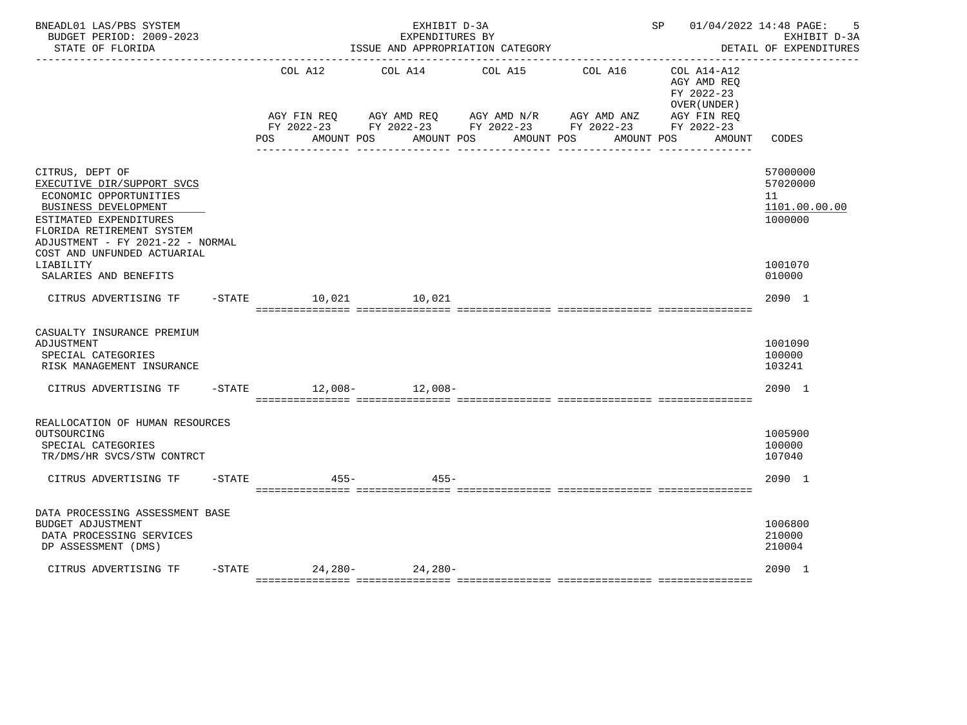| BNEADL01 LAS/PBS SYSTEM<br>BUDGET PERIOD: 2009-2023<br>STATE OF FLORIDA                                                                                                                                                   |           |                                                                        |        | EXHIBIT D-3A<br>EXPENDITURES BY<br>ISSUE AND APPROPRIATION CATEGORY |            |            |                                                              |        | SP 01/04/2022 14:48 PAGE:<br>-5<br>EXHIBIT D-3A<br>DETAIL OF EXPENDITURES |
|---------------------------------------------------------------------------------------------------------------------------------------------------------------------------------------------------------------------------|-----------|------------------------------------------------------------------------|--------|---------------------------------------------------------------------|------------|------------|--------------------------------------------------------------|--------|---------------------------------------------------------------------------|
|                                                                                                                                                                                                                           |           | COL A12<br>AGY FIN REQ AGY AMD REQ AGY AMD N/R AGY AMD ANZ AGY FIN REQ |        | COL A14 COL A15                                                     |            | COL A16    | $COL A14 - A12$<br>AGY AMD REQ<br>FY 2022-23<br>OVER (UNDER) |        |                                                                           |
|                                                                                                                                                                                                                           |           |                                                                        |        | FY 2022-23 FY 2022-23 FY 2022-23 FY 2022-23 FY 2022-23              |            |            |                                                              |        |                                                                           |
|                                                                                                                                                                                                                           |           | POS                                                                    |        | AMOUNT POS AMOUNT POS                                               | AMOUNT POS | AMOUNT POS |                                                              | AMOUNT | CODES                                                                     |
| CITRUS, DEPT OF<br>EXECUTIVE DIR/SUPPORT SVCS<br>ECONOMIC OPPORTUNITIES<br>BUSINESS DEVELOPMENT<br>ESTIMATED EXPENDITURES<br>FLORIDA RETIREMENT SYSTEM<br>ADJUSTMENT - FY 2021-22 - NORMAL<br>COST AND UNFUNDED ACTUARIAL |           |                                                                        |        |                                                                     |            |            |                                                              |        | 57000000<br>57020000<br>11<br>1101.00.00.00<br>1000000                    |
| LIABILITY<br>SALARIES AND BENEFITS                                                                                                                                                                                        |           |                                                                        |        |                                                                     |            |            |                                                              |        | 1001070<br>010000                                                         |
| CITRUS ADVERTISING TF - STATE 10,021 10,021                                                                                                                                                                               |           |                                                                        |        |                                                                     |            |            |                                                              |        | 2090 1                                                                    |
| CASUALTY INSURANCE PREMIUM<br>ADJUSTMENT<br>SPECIAL CATEGORIES<br>RISK MANAGEMENT INSURANCE                                                                                                                               |           |                                                                        |        |                                                                     |            |            |                                                              |        | 1001090<br>100000<br>103241                                               |
| CITRUS ADVERTISING TF                                                                                                                                                                                                     |           | $-$ STATE $12,008 12,008-$                                             |        |                                                                     |            |            |                                                              |        | 2090 1                                                                    |
| REALLOCATION OF HUMAN RESOURCES<br>OUTSOURCING<br>SPECIAL CATEGORIES<br>TR/DMS/HR SVCS/STW CONTRCT                                                                                                                        |           |                                                                        |        |                                                                     |            |            |                                                              |        | 1005900<br>100000<br>107040                                               |
| CITRUS ADVERTISING TF                                                                                                                                                                                                     | $-$ STATE |                                                                        | $455-$ | $455 -$                                                             |            |            |                                                              |        | 2090 1                                                                    |
| DATA PROCESSING ASSESSMENT BASE<br><b>BUDGET ADJUSTMENT</b><br>DATA PROCESSING SERVICES<br>DP ASSESSMENT (DMS)                                                                                                            |           |                                                                        |        |                                                                     |            |            |                                                              |        | 1006800<br>210000<br>210004                                               |
| CITRUS ADVERTISING TF                                                                                                                                                                                                     |           | $-STATE$ 24, 280 - 24, 280 - 24, 280 -                                 |        |                                                                     |            |            |                                                              |        | 2090 1                                                                    |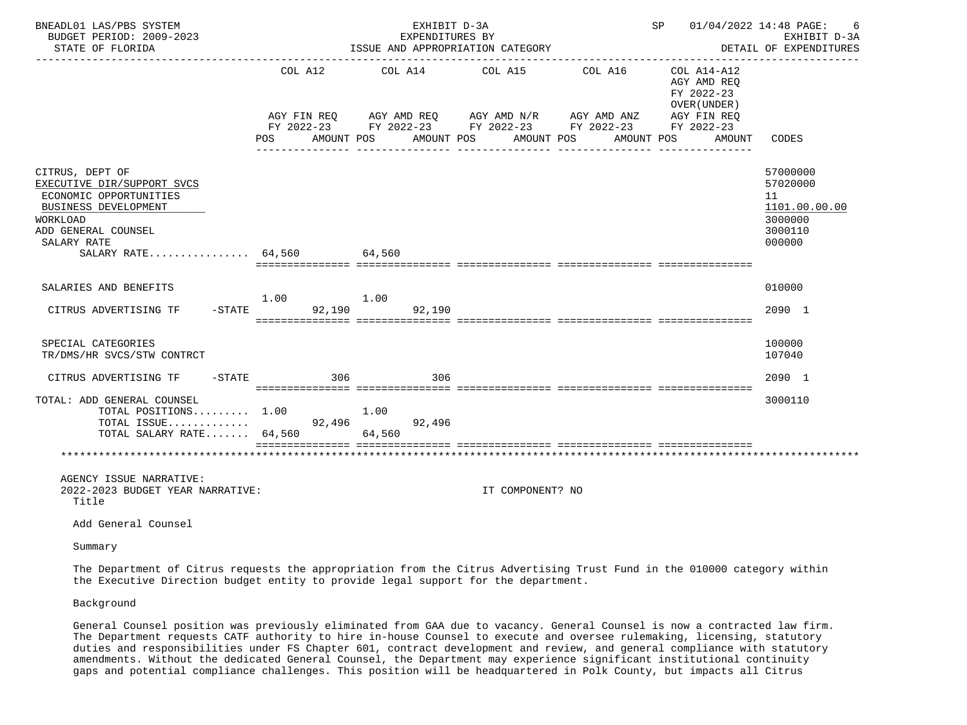| BNEADL01 LAS/PBS SYSTEM<br>BUDGET PERIOD: 2009-2023<br>STATE OF FLORIDA                                                                                                        |                | EXHIBIT D-3A<br>EXPENDITURES BY<br>ISSUE AND APPROPRIATION CATEGORY<br>--------------------------------------           |                               |                                     | SP 01/04/2022 14:48 PAGE:<br>----------------                           | 6<br>EXHIBIT D-3A<br>DETAIL OF EXPENDITURES                                 |
|--------------------------------------------------------------------------------------------------------------------------------------------------------------------------------|----------------|-------------------------------------------------------------------------------------------------------------------------|-------------------------------|-------------------------------------|-------------------------------------------------------------------------|-----------------------------------------------------------------------------|
|                                                                                                                                                                                | COL A12<br>POS | AGY FIN REQ AGY AMD REQ AGY AMD N/R AGY AMD ANZ<br>FY 2022-23 FY 2022-23 FY 2022-23 FY 2022-23 FY 2022-23<br>AMOUNT POS | COL A14 COL A15<br>AMOUNT POS | COL A16<br>AMOUNT POS<br>AMOUNT POS | COL A14-A12<br>AGY AMD REO<br>FY 2022-23<br>OVER (UNDER)<br>AGY FIN REQ | AMOUNT CODES                                                                |
| CITRUS, DEPT OF<br>EXECUTIVE DIR/SUPPORT SVCS<br>ECONOMIC OPPORTUNITIES<br>BUSINESS DEVELOPMENT<br>WORKLOAD<br>ADD GENERAL COUNSEL<br>SALARY RATE<br>SALARY RATE 64,560 64,560 |                |                                                                                                                         |                               |                                     |                                                                         | 57000000<br>57020000<br>11<br>1101.00.00.00<br>3000000<br>3000110<br>000000 |
| SALARIES AND BENEFITS<br>$-STATE$<br>CITRUS ADVERTISING TF                                                                                                                     | 1.00           | 1.00<br>92,190<br>92,190                                                                                                |                               |                                     |                                                                         | 010000<br>2090 1                                                            |
| SPECIAL CATEGORIES<br>TR/DMS/HR SVCS/STW CONTRCT                                                                                                                               |                |                                                                                                                         |                               |                                     |                                                                         | 100000<br>107040                                                            |
| CITRUS ADVERTISING TF - STATE                                                                                                                                                  | 306            | 306                                                                                                                     |                               |                                     |                                                                         | 2090 1                                                                      |
| TOTAL: ADD GENERAL COUNSEL<br>TOTAL POSITIONS 1.00<br>TOTAL SALARY RATE 64,560 64,560                                                                                          |                | 1.00<br>92,496                                                                                                          |                               |                                     |                                                                         | 3000110                                                                     |
|                                                                                                                                                                                |                |                                                                                                                         |                               |                                     |                                                                         |                                                                             |
| AGENCY ISSUE NARRATIVE:<br>2022-2023 BUDGET YEAR NARRATIVE:<br>Title                                                                                                           |                |                                                                                                                         | IT COMPONENT? NO              |                                     |                                                                         |                                                                             |
| Add General Counsel                                                                                                                                                            |                |                                                                                                                         |                               |                                     |                                                                         |                                                                             |
| Summary                                                                                                                                                                        |                |                                                                                                                         |                               |                                     |                                                                         |                                                                             |

 The Department of Citrus requests the appropriation from the Citrus Advertising Trust Fund in the 010000 category within the Executive Direction budget entity to provide legal support for the department.

Background

 General Counsel position was previously eliminated from GAA due to vacancy. General Counsel is now a contracted law firm. The Department requests CATF authority to hire in-house Counsel to execute and oversee rulemaking, licensing, statutory duties and responsibilities under FS Chapter 601, contract development and review, and general compliance with statutory amendments. Without the dedicated General Counsel, the Department may experience significant institutional continuity gaps and potential compliance challenges. This position will be headquartered in Polk County, but impacts all Citrus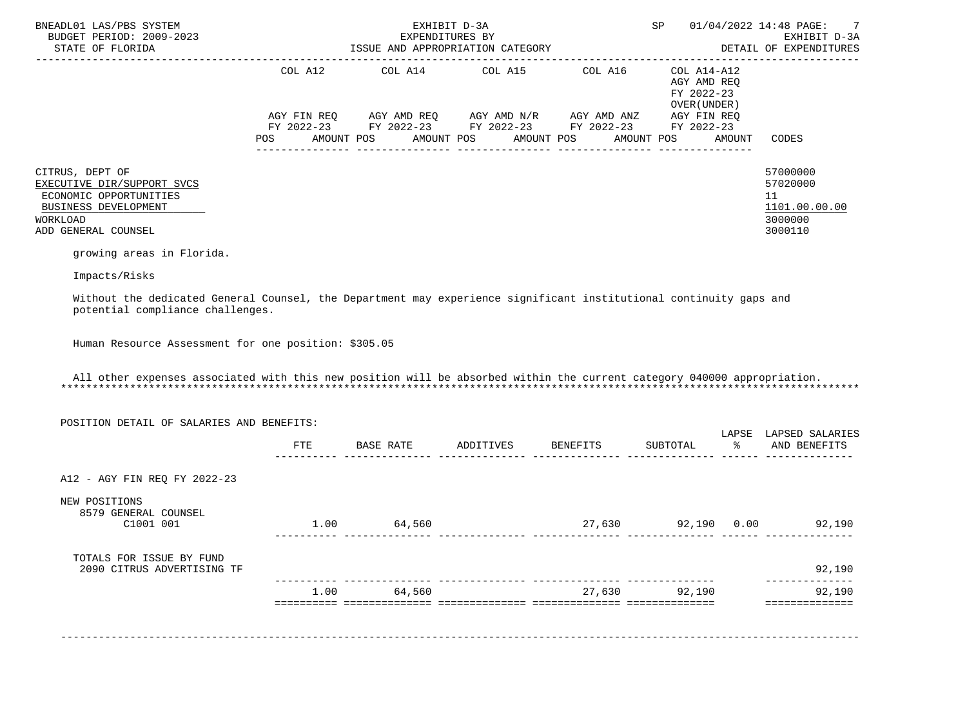| BNEADL01 LAS/PBS SYSTEM<br>BUDGET PERIOD: 2009-2023<br>STATE OF FLORIDA                                                                                         |         | EXHIBIT D-3A<br>EXPENDITURES BY<br>ISSUE AND APPROPRIATION CATEGORY                                                                                                                                               | SP                           |                                                                                                                   | 01/04/2022 14:48 PAGE:<br>7<br>EXHIBIT D-3A<br>DETAIL OF EXPENDITURES |                                                                   |
|-----------------------------------------------------------------------------------------------------------------------------------------------------------------|---------|-------------------------------------------------------------------------------------------------------------------------------------------------------------------------------------------------------------------|------------------------------|-------------------------------------------------------------------------------------------------------------------|-----------------------------------------------------------------------|-------------------------------------------------------------------|
|                                                                                                                                                                 | POS FOR | COL A12 COL A14 COL A15 COL A16<br>AGY FIN REQ        AGY AMD REQ         AGY AMD N/R        AGY AMD ANZ<br>FY 2022-23 FY 2022-23 FY 2022-23 FY 2022-23 FY 2022-23<br>AMOUNT POS AMOUNT POS AMOUNT POS AMOUNT POS |                              | . <u>_ _ _ _ _ _ _ _ _ _ _ _ _ _</u> _<br>COL A14-A12<br>AGY AMD REO<br>FY 2022-23<br>OVER (UNDER)<br>AGY FIN REQ | AMOUNT                                                                | -------------<br>CODES                                            |
| CITRUS, DEPT OF<br>EXECUTIVE DIR/SUPPORT SVCS<br>ECONOMIC OPPORTUNITIES<br>BUSINESS DEVELOPMENT<br>WORKLOAD<br>ADD GENERAL COUNSEL<br>growing areas in Florida. |         |                                                                                                                                                                                                                   |                              |                                                                                                                   |                                                                       | 57000000<br>57020000<br>11<br>1101.00.00.00<br>3000000<br>3000110 |
| Impacts/Risks                                                                                                                                                   |         |                                                                                                                                                                                                                   |                              |                                                                                                                   |                                                                       |                                                                   |
| Without the dedicated General Counsel, the Department may experience significant institutional continuity gaps and<br>potential compliance challenges.          |         |                                                                                                                                                                                                                   |                              |                                                                                                                   |                                                                       |                                                                   |
| Human Resource Assessment for one position: \$305.05                                                                                                            |         |                                                                                                                                                                                                                   |                              |                                                                                                                   |                                                                       |                                                                   |
| All other expenses associated with this new position will be absorbed within the current category 040000 appropriation.                                         |         |                                                                                                                                                                                                                   |                              |                                                                                                                   |                                                                       |                                                                   |
| POSITION DETAIL OF SALARIES AND BENEFITS:                                                                                                                       |         |                                                                                                                                                                                                                   |                              |                                                                                                                   |                                                                       | LAPSE LAPSED SALARIES                                             |
|                                                                                                                                                                 | FTE     |                                                                                                                                                                                                                   | BASE RATE ADDITIVES BENEFITS | SUBTOTAL                                                                                                          | ႜၟ                                                                    | AND BENEFITS                                                      |
| A12 - AGY FIN REO FY 2022-23                                                                                                                                    |         |                                                                                                                                                                                                                   |                              |                                                                                                                   |                                                                       |                                                                   |

NEW POSITIONS

| 8579 GENERAL COUNSEL<br>C1001 001                      | 1.00 | 64,560 | 27,630 | 92,190<br>0.00 | 92,190 |
|--------------------------------------------------------|------|--------|--------|----------------|--------|
| TOTALS FOR ISSUE BY FUND<br>2090 CITRUS ADVERTISING TF |      |        |        |                | 92,190 |
|                                                        | 1.00 | 64,560 | 27,630 | 92,190         | 92,190 |
|                                                        |      |        |        |                |        |
|                                                        |      |        |        |                |        |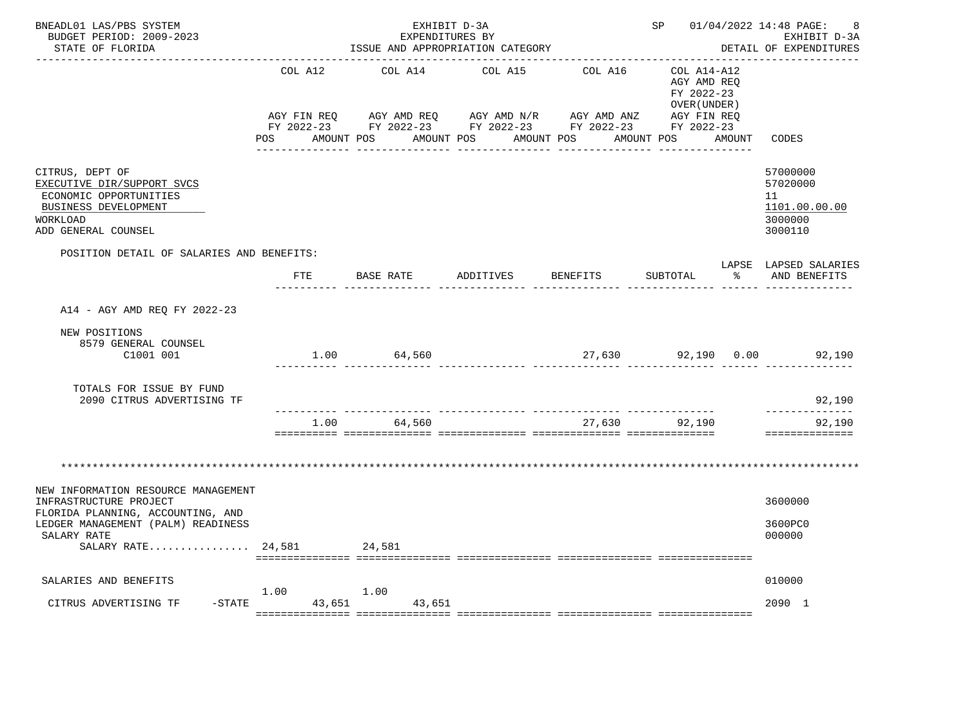| BNEADL01 LAS/PBS SYSTEM<br>BUDGET PERIOD: 2009-2023<br>STATE OF FLORIDA                                                                                                              |            |                       |           | EXHIBIT D-3A<br>EXPENDITURES BY<br>ISSUE AND APPROPRIATION CATEGORY |                       |                                                                                                                                  | SP 01/04/2022 14:48 PAGE:<br>-8<br>EXHIBIT D-3A<br>DETAIL OF EXPENDITURES |        |                                                                   |
|--------------------------------------------------------------------------------------------------------------------------------------------------------------------------------------|------------|-----------------------|-----------|---------------------------------------------------------------------|-----------------------|----------------------------------------------------------------------------------------------------------------------------------|---------------------------------------------------------------------------|--------|-------------------------------------------------------------------|
|                                                                                                                                                                                      | <b>POS</b> | COL A12<br>AMOUNT POS |           | COL A14<br>AMOUNT POS                                               | COL A15<br>AMOUNT POS | COL A16<br>AGY FIN REQ AGY AMD REQ AGY AMD N/R AGY AMD ANZ AGY FIN REQ<br>FY 2022-23 FY 2022-23 FY 2022-23 FY 2022-23 FY 2022-23 | COL A14-A12<br>AGY AMD REQ<br>FY 2022-23<br>OVER (UNDER)<br>AMOUNT POS    | AMOUNT | CODES                                                             |
| CITRUS, DEPT OF<br>EXECUTIVE DIR/SUPPORT SVCS<br>ECONOMIC OPPORTUNITIES<br>BUSINESS DEVELOPMENT<br>WORKLOAD<br>ADD GENERAL COUNSEL                                                   |            |                       |           |                                                                     |                       |                                                                                                                                  |                                                                           |        | 57000000<br>57020000<br>11<br>1101.00.00.00<br>3000000<br>3000110 |
| POSITION DETAIL OF SALARIES AND BENEFITS:                                                                                                                                            |            |                       | BASE RATE |                                                                     |                       | ADDITIVES BENEFITS                                                                                                               | SUBTOTAL                                                                  | — န    | LAPSE LAPSED SALARIES                                             |
|                                                                                                                                                                                      |            | FTE                   |           |                                                                     |                       |                                                                                                                                  |                                                                           |        | AND BENEFITS                                                      |
| A14 - AGY AMD REQ FY 2022-23<br>NEW POSITIONS<br>8579 GENERAL COUNSEL<br>C1001 001                                                                                                   |            |                       |           | 1.00 64,560                                                         |                       |                                                                                                                                  |                                                                           |        | 27,630 92,190 0.00 92,190                                         |
| TOTALS FOR ISSUE BY FUND<br>2090 CITRUS ADVERTISING TF                                                                                                                               |            |                       |           |                                                                     |                       |                                                                                                                                  |                                                                           |        | 92,190                                                            |
|                                                                                                                                                                                      |            |                       |           | 1.00 64,560                                                         |                       |                                                                                                                                  | 27,630 92,190                                                             |        | -------------<br>92,190<br>==============                         |
|                                                                                                                                                                                      |            |                       |           |                                                                     |                       |                                                                                                                                  |                                                                           |        |                                                                   |
| NEW INFORMATION RESOURCE MANAGEMENT<br>INFRASTRUCTURE PROJECT<br>FLORIDA PLANNING, ACCOUNTING, AND<br>LEDGER MANAGEMENT (PALM) READINESS<br>SALARY RATE<br>SALARY RATE 24,581 24,581 |            |                       |           |                                                                     |                       |                                                                                                                                  |                                                                           |        | 3600000<br>3600PC0<br>000000                                      |
|                                                                                                                                                                                      |            |                       |           |                                                                     |                       |                                                                                                                                  |                                                                           |        |                                                                   |
| SALARIES AND BENEFITS                                                                                                                                                                |            | 1.00                  | 1.00      |                                                                     |                       |                                                                                                                                  |                                                                           |        | 010000                                                            |
| CITRUS ADVERTISING TF                                                                                                                                                                |            |                       |           | -STATE 43,651 43,651                                                |                       |                                                                                                                                  |                                                                           |        | 2090 1                                                            |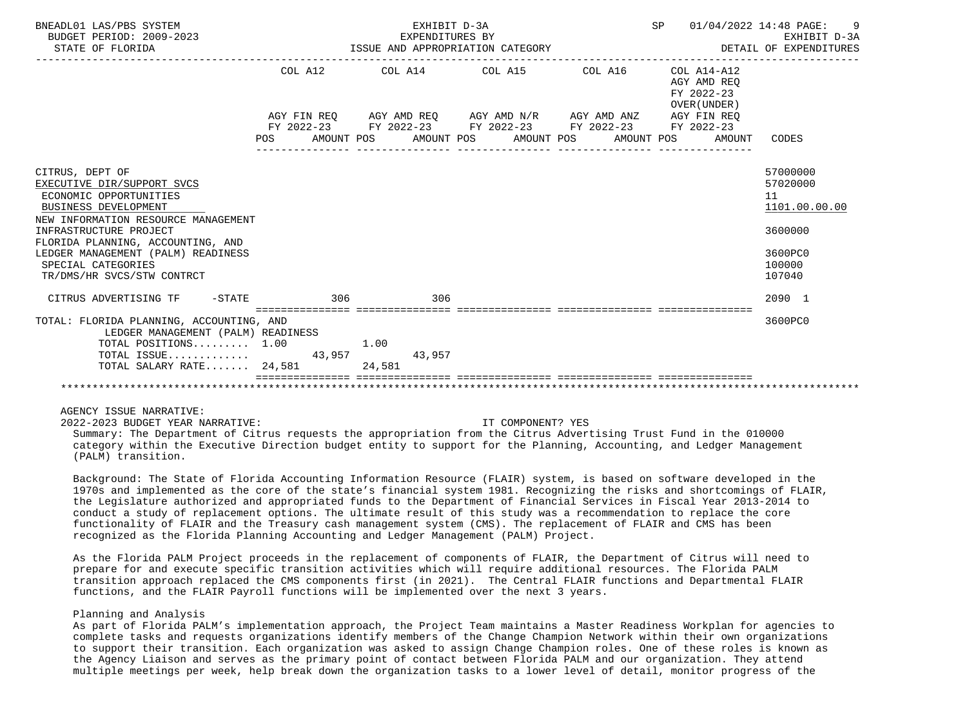| BNEADL01 LAS/PBS SYSTEM<br>BUDGET PERIOD: 2009-2023<br>STATE OF FLORIDA                                | EXHIBIT D-3A<br>EXPENDITURES BY                             |  | SP 01/04/2022 14:48 PAGE:<br>ISSUE AND APPROPRIATION CATEGORY <b>Example 20 SETALL OF EXPENDITURES</b> | 9<br>EXHIBIT D-3A                           |
|--------------------------------------------------------------------------------------------------------|-------------------------------------------------------------|--|--------------------------------------------------------------------------------------------------------|---------------------------------------------|
|                                                                                                        | COL A12 COL A14 COL A15 COL A16                             |  | COL A14-A12<br>AGY AMD REO<br>FY 2022-23<br>OVER (UNDER)                                               |                                             |
|                                                                                                        | AGY FIN REQ AGY AMD REQ AGY AMD N/R AGY AMD ANZ AGY FIN REQ |  |                                                                                                        |                                             |
|                                                                                                        | FY 2022-23 FY 2022-23 FY 2022-23 FY 2022-23 FY 2022-23      |  |                                                                                                        |                                             |
|                                                                                                        |                                                             |  | POS AMOUNT POS AMOUNT POS AMOUNT POS AMOUNT POS AMOUNT                                                 | CODES                                       |
|                                                                                                        |                                                             |  |                                                                                                        |                                             |
| CITRUS, DEPT OF<br>EXECUTIVE DIR/SUPPORT SVCS<br>ECONOMIC OPPORTUNITIES<br><b>BUSINESS DEVELOPMENT</b> |                                                             |  |                                                                                                        | 57000000<br>57020000<br>11<br>1101.00.00.00 |
| NEW INFORMATION RESOURCE MANAGEMENT                                                                    |                                                             |  |                                                                                                        |                                             |
| INFRASTRUCTURE PROJECT                                                                                 |                                                             |  |                                                                                                        | 3600000                                     |
| FLORIDA PLANNING, ACCOUNTING, AND<br>LEDGER MANAGEMENT (PALM) READINESS                                |                                                             |  |                                                                                                        | 3600PC0                                     |
| SPECIAL CATEGORIES                                                                                     |                                                             |  |                                                                                                        | 100000                                      |
| TR/DMS/HR SVCS/STW CONTRCT                                                                             |                                                             |  |                                                                                                        | 107040                                      |
|                                                                                                        |                                                             |  |                                                                                                        |                                             |
| CITRUS ADVERTISING TF -STATE 306                                                                       | 306                                                         |  |                                                                                                        | 2090 1                                      |
|                                                                                                        |                                                             |  |                                                                                                        |                                             |
| TOTAL: FLORIDA PLANNING, ACCOUNTING, AND                                                               |                                                             |  |                                                                                                        | 3600PC0                                     |
| LEDGER MANAGEMENT (PALM) READINESS<br>TOTAL POSITIONS 1.00                                             | 1.00                                                        |  |                                                                                                        |                                             |
| TOTAL ISSUE 43,957                                                                                     | 43,957                                                      |  |                                                                                                        |                                             |
| TOTAL SALARY RATE 24,581                                                                               | 24,581                                                      |  |                                                                                                        |                                             |
|                                                                                                        |                                                             |  |                                                                                                        |                                             |
|                                                                                                        |                                                             |  |                                                                                                        |                                             |

AGENCY ISSUE NARRATIVE:

2022-2023 BUDGET YEAR NARRATIVE: IT COMPONENT? YES

 Summary: The Department of Citrus requests the appropriation from the Citrus Advertising Trust Fund in the 010000 category within the Executive Direction budget entity to support for the Planning, Accounting, and Ledger Management (PALM) transition.

 Background: The State of Florida Accounting Information Resource (FLAIR) system, is based on software developed in the 1970s and implemented as the core of the state's financial system 1981. Recognizing the risks and shortcomings of FLAIR, the Legislature authorized and appropriated funds to the Department of Financial Services in Fiscal Year 2013-2014 to conduct a study of replacement options. The ultimate result of this study was a recommendation to replace the core functionality of FLAIR and the Treasury cash management system (CMS). The replacement of FLAIR and CMS has been recognized as the Florida Planning Accounting and Ledger Management (PALM) Project.

 As the Florida PALM Project proceeds in the replacement of components of FLAIR, the Department of Citrus will need to prepare for and execute specific transition activities which will require additional resources. The Florida PALM transition approach replaced the CMS components first (in 2021). The Central FLAIR functions and Departmental FLAIR functions, and the FLAIR Payroll functions will be implemented over the next 3 years.

## Planning and Analysis

 As part of Florida PALM's implementation approach, the Project Team maintains a Master Readiness Workplan for agencies to complete tasks and requests organizations identify members of the Change Champion Network within their own organizations to support their transition. Each organization was asked to assign Change Champion roles. One of these roles is known as the Agency Liaison and serves as the primary point of contact between Florida PALM and our organization. They attend multiple meetings per week, help break down the organization tasks to a lower level of detail, monitor progress of the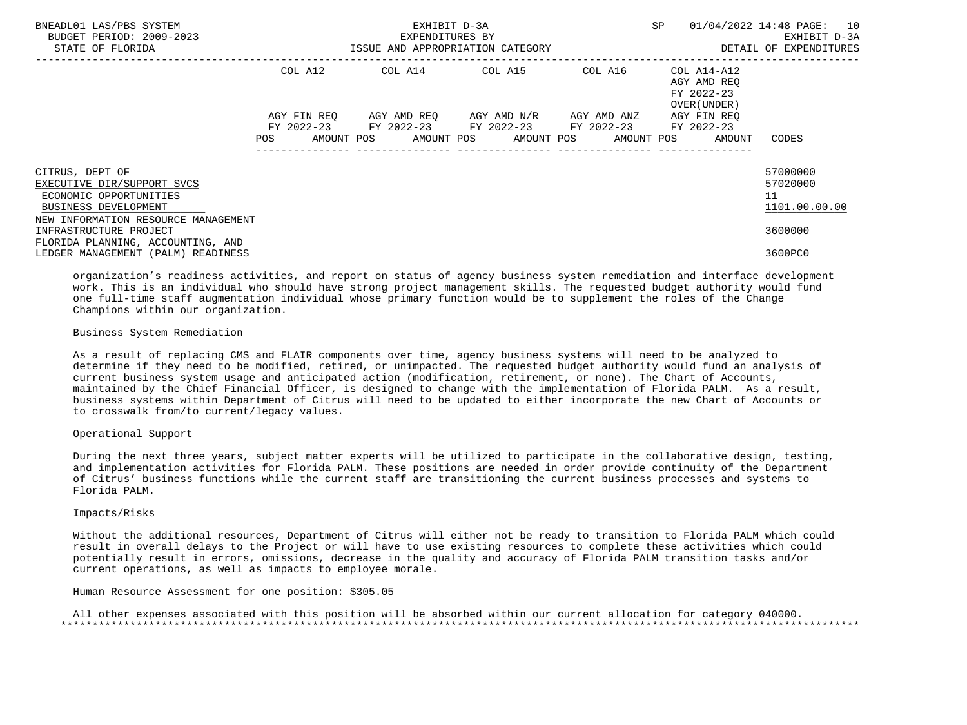| BNEADL01 LAS/PBS SYSTEM<br>BUDGET PERIOD: 2009-2023<br>STATE OF FLORIDA | EXHIBIT D-3A<br>EXPENDITURES BY<br>ISSUE AND APPROPRIATION CATEGORY |                                                            |  |                                                                                           |  |  |  |  | SP |  | 01/04/2022 14:48 PAGE: 10<br>EXHIBIT D-3A<br>DETAIL OF EXPENDITURES |               |
|-------------------------------------------------------------------------|---------------------------------------------------------------------|------------------------------------------------------------|--|-------------------------------------------------------------------------------------------|--|--|--|--|----|--|---------------------------------------------------------------------|---------------|
|                                                                         |                                                                     | COL A12                                                    |  | COL A14 COL A15 COL A16                                                                   |  |  |  |  |    |  | COL A14-A12<br>AGY AMD REO<br>FY 2022-23<br>OVER (UNDER)            |               |
|                                                                         | POS FOR THE POST OF THE STREET                                      | AGY FIN REO<br>FY 2022-23 FY 2022-23 FY 2022-23 FY 2022-23 |  | AGY AMD REO AGY AMD N/R AGY AMD ANZ<br>AMOUNT POS AMOUNT POS AMOUNT POS AMOUNT POS AMOUNT |  |  |  |  |    |  | AGY FIN REO<br>FY 2022-23                                           | CODES         |
|                                                                         |                                                                     |                                                            |  |                                                                                           |  |  |  |  |    |  |                                                                     |               |
| CITRUS, DEPT OF                                                         |                                                                     |                                                            |  |                                                                                           |  |  |  |  |    |  |                                                                     | 57000000      |
| EXECUTIVE DIR/SUPPORT SVCS                                              |                                                                     |                                                            |  |                                                                                           |  |  |  |  |    |  |                                                                     | 57020000      |
| ECONOMIC OPPORTUNITIES                                                  |                                                                     |                                                            |  |                                                                                           |  |  |  |  |    |  |                                                                     | 11            |
| BUSINESS DEVELOPMENT                                                    |                                                                     |                                                            |  |                                                                                           |  |  |  |  |    |  |                                                                     | 1101.00.00.00 |
| NEW INFORMATION RESOURCE MANAGEMENT                                     |                                                                     |                                                            |  |                                                                                           |  |  |  |  |    |  |                                                                     |               |
| INFRASTRUCTURE PROJECT                                                  |                                                                     |                                                            |  |                                                                                           |  |  |  |  |    |  |                                                                     | 3600000       |
| FLORIDA PLANNING, ACCOUNTING, AND                                       |                                                                     |                                                            |  |                                                                                           |  |  |  |  |    |  |                                                                     |               |
| LEDGER MANAGEMENT (PALM) READINESS                                      |                                                                     |                                                            |  |                                                                                           |  |  |  |  |    |  |                                                                     | 3600PC0       |

 organization's readiness activities, and report on status of agency business system remediation and interface development work. This is an individual who should have strong project management skills. The requested budget authority would fund one full-time staff augmentation individual whose primary function would be to supplement the roles of the Change Champions within our organization.

## Business System Remediation

 As a result of replacing CMS and FLAIR components over time, agency business systems will need to be analyzed to determine if they need to be modified, retired, or unimpacted. The requested budget authority would fund an analysis of current business system usage and anticipated action (modification, retirement, or none). The Chart of Accounts, maintained by the Chief Financial Officer, is designed to change with the implementation of Florida PALM. As a result, business systems within Department of Citrus will need to be updated to either incorporate the new Chart of Accounts or to crosswalk from/to current/legacy values.

## Operational Support

 During the next three years, subject matter experts will be utilized to participate in the collaborative design, testing, and implementation activities for Florida PALM. These positions are needed in order provide continuity of the Department of Citrus' business functions while the current staff are transitioning the current business processes and systems to Florida PALM.

### Impacts/Risks

 Without the additional resources, Department of Citrus will either not be ready to transition to Florida PALM which could result in overall delays to the Project or will have to use existing resources to complete these activities which could potentially result in errors, omissions, decrease in the quality and accuracy of Florida PALM transition tasks and/or current operations, as well as impacts to employee morale.

## Human Resource Assessment for one position: \$305.05

 All other expenses associated with this position will be absorbed within our current allocation for category 040000. \*\*\*\*\*\*\*\*\*\*\*\*\*\*\*\*\*\*\*\*\*\*\*\*\*\*\*\*\*\*\*\*\*\*\*\*\*\*\*\*\*\*\*\*\*\*\*\*\*\*\*\*\*\*\*\*\*\*\*\*\*\*\*\*\*\*\*\*\*\*\*\*\*\*\*\*\*\*\*\*\*\*\*\*\*\*\*\*\*\*\*\*\*\*\*\*\*\*\*\*\*\*\*\*\*\*\*\*\*\*\*\*\*\*\*\*\*\*\*\*\*\*\*\*\*\*\*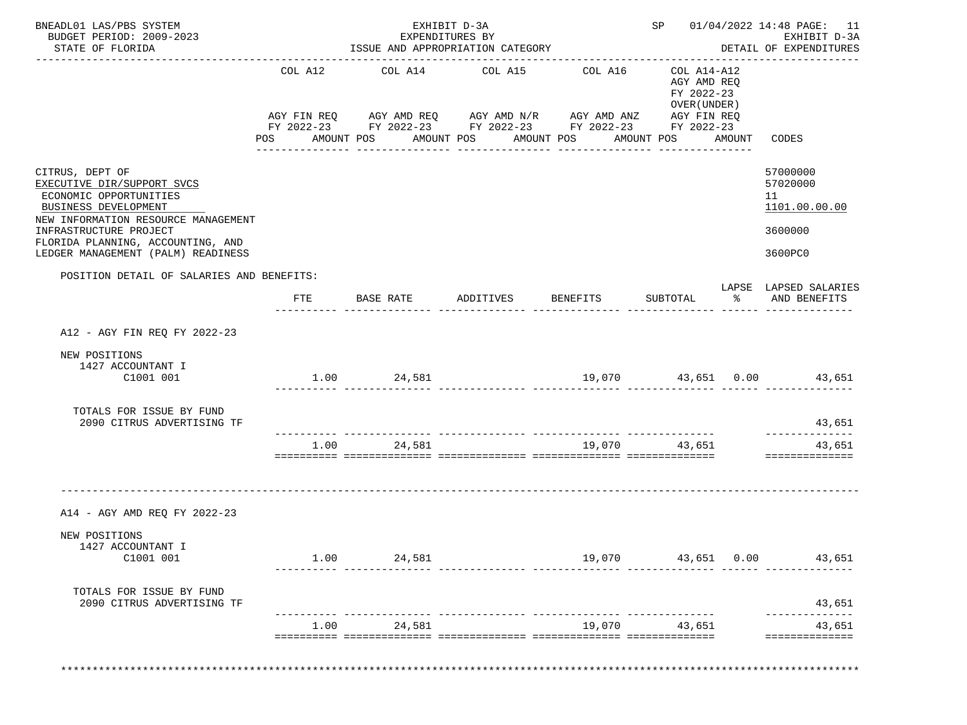| BNEADL01 LAS/PBS SYSTEM<br>BUDGET PERIOD: 2009-2023<br>STATE OF FLORIDA                                                                |                                                                                                                           | EXHIBIT D-3A<br>EXPENDITURES BY<br>ISSUE AND APPROPRIATION CATEGORY                                                                                                  |                          | ___________________________________ |                                                                        |        | SP 01/04/2022 14:48 PAGE: 11<br>EXHIBIT D-3A<br>DETAIL OF EXPENDITURES |
|----------------------------------------------------------------------------------------------------------------------------------------|---------------------------------------------------------------------------------------------------------------------------|----------------------------------------------------------------------------------------------------------------------------------------------------------------------|--------------------------|-------------------------------------|------------------------------------------------------------------------|--------|------------------------------------------------------------------------|
|                                                                                                                                        | COL A12<br>POS FOR THE POST OF THE STATE STATE STATE STATE STATE STATE STATE STATE STATE STATE STATE STATE STATE STATE ST | COL A14<br>AGY FIN REQ AGY AMD REQ AGY AMD N/R AGY AMD ANZ AGY FIN REQ<br>FY 2022-23 FY 2022-23 FY 2022-23 FY 2022-23 FY 2022-23<br>AMOUNT POS AMOUNT POS AMOUNT POS | COL A15                  | COL A16                             | COL A14-A12<br>AGY AMD REQ<br>FY 2022-23<br>OVER (UNDER)<br>AMOUNT POS | AMOUNT | CODES                                                                  |
| CITRUS, DEPT OF<br>EXECUTIVE DIR/SUPPORT SVCS<br>ECONOMIC OPPORTUNITIES<br>BUSINESS DEVELOPMENT<br>NEW INFORMATION RESOURCE MANAGEMENT |                                                                                                                           |                                                                                                                                                                      |                          |                                     |                                                                        |        | 57000000<br>57020000<br>11<br>1101.00.00.00                            |
| INFRASTRUCTURE PROJECT<br>FLORIDA PLANNING, ACCOUNTING, AND                                                                            |                                                                                                                           |                                                                                                                                                                      |                          |                                     |                                                                        |        | 3600000                                                                |
| LEDGER MANAGEMENT (PALM) READINESS                                                                                                     |                                                                                                                           |                                                                                                                                                                      |                          |                                     |                                                                        |        | 3600PC0                                                                |
| POSITION DETAIL OF SALARIES AND BENEFITS:                                                                                              | FTE                                                                                                                       | BASE RATE                                                                                                                                                            | ADDITIVES BENEFITS       |                                     | SUBTOTAL                                                               |        | LAPSE LAPSED SALARIES<br>% AND BENEFITS                                |
| A12 - AGY FIN REO FY 2022-23                                                                                                           |                                                                                                                           |                                                                                                                                                                      |                          |                                     |                                                                        |        |                                                                        |
|                                                                                                                                        |                                                                                                                           |                                                                                                                                                                      |                          |                                     |                                                                        |        |                                                                        |
| NEW POSITIONS<br>1427 ACCOUNTANT I<br>C1001 001                                                                                        |                                                                                                                           | 1.00 24,581                                                                                                                                                          |                          |                                     |                                                                        |        | 19,070 43,651 0.00 43,651                                              |
| TOTALS FOR ISSUE BY FUND<br>2090 CITRUS ADVERTISING TF                                                                                 |                                                                                                                           |                                                                                                                                                                      |                          |                                     |                                                                        |        | 43,651<br>-------------                                                |
|                                                                                                                                        | 1.00                                                                                                                      | 24,581                                                                                                                                                               |                          | 19,070                              | 43,651                                                                 |        | 43,651<br>==============                                               |
| A14 - AGY AMD REQ FY 2022-23                                                                                                           |                                                                                                                           |                                                                                                                                                                      |                          |                                     |                                                                        |        |                                                                        |
| NEW POSITIONS<br>1427 ACCOUNTANT I                                                                                                     |                                                                                                                           |                                                                                                                                                                      |                          |                                     |                                                                        |        |                                                                        |
| C1001 001                                                                                                                              |                                                                                                                           | 1.00 24,581                                                                                                                                                          | ___________ ____________ | 19,070                              | 43,651 0.00                                                            |        | 43,651                                                                 |
| TOTALS FOR ISSUE BY FUND<br>2090 CITRUS ADVERTISING TF                                                                                 |                                                                                                                           |                                                                                                                                                                      |                          |                                     |                                                                        |        | 43,651                                                                 |
|                                                                                                                                        | 1.00                                                                                                                      | 24,581                                                                                                                                                               |                          |                                     | 19,070 43,651                                                          |        | --------------<br>43,651                                               |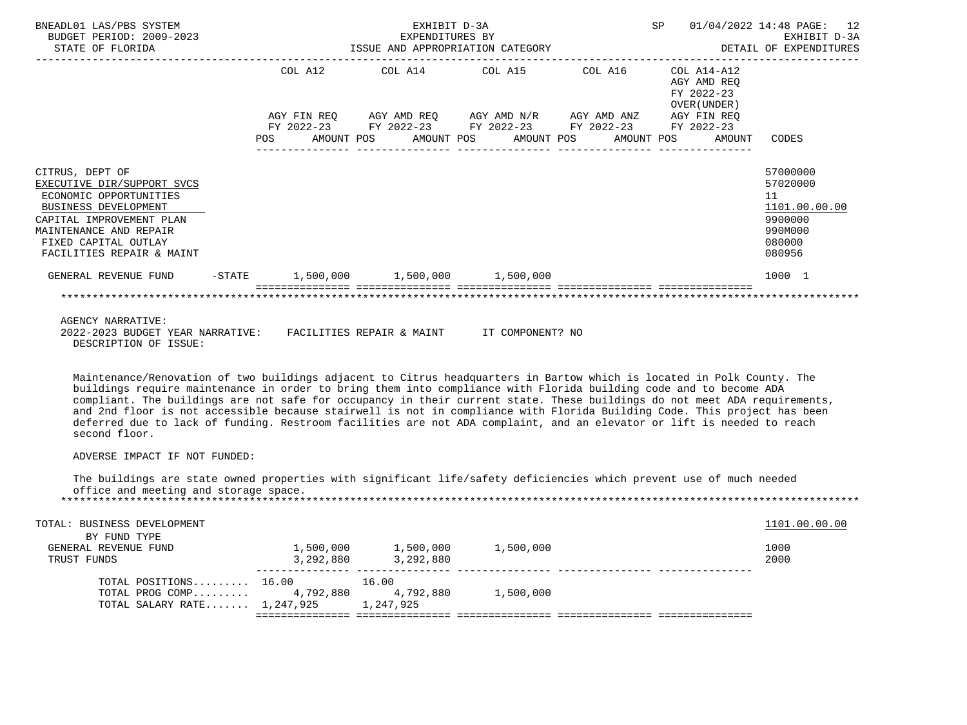| BNEADL01 LAS/PBS SYSTEM<br>BUDGET PERIOD: 2009-2023<br>STATE OF FLORIDA                                                                                                                                    | EXHIBIT D-3A<br>EXPENDITURES BY<br>2023 EXPENDITURES BY<br>ISSUE AND APPROPRIATION CATEGORY |         |  |  |  |                                                                                                       |  | SP 01/04/2022 14:48 PAGE: 12<br>EXHIBIT D-3A<br>DETAIL OF EXPENDITURES |                                                                                       |
|------------------------------------------------------------------------------------------------------------------------------------------------------------------------------------------------------------|---------------------------------------------------------------------------------------------|---------|--|--|--|-------------------------------------------------------------------------------------------------------|--|------------------------------------------------------------------------|---------------------------------------------------------------------------------------|
|                                                                                                                                                                                                            |                                                                                             | COL A12 |  |  |  | COL A14 COL A15 COL A16<br>AGY FIN REO AGY AMD REO AGY AMD N/R AGY AMD ANZ                            |  | COL A14-A12<br>AGY AMD REO<br>FY 2022-23<br>OVER (UNDER)               |                                                                                       |
|                                                                                                                                                                                                            | POS                                                                                         |         |  |  |  | FY 2022-23 FY 2022-23 FY 2022-23 FY 2022-23 FY 2022-23<br>AMOUNT POS AMOUNT POS AMOUNT POS AMOUNT POS |  | AGY FIN REO<br>AMOUNT                                                  | CODES                                                                                 |
| CITRUS, DEPT OF<br>EXECUTIVE DIR/SUPPORT SVCS<br>ECONOMIC OPPORTUNITIES<br>BUSINESS DEVELOPMENT<br>CAPITAL IMPROVEMENT PLAN<br>MAINTENANCE AND REPAIR<br>FIXED CAPITAL OUTLAY<br>FACILITIES REPAIR & MAINT |                                                                                             |         |  |  |  |                                                                                                       |  |                                                                        | 57000000<br>57020000<br>11<br>1101.00.00.00<br>9900000<br>990M000<br>080000<br>080956 |
| GENERAL REVENUE FUND                                                                                                                                                                                       |                                                                                             |         |  |  |  | $-$ STATE $1,500,000$ $1,500,000$ $1,500,000$                                                         |  |                                                                        | 1000 1                                                                                |
| AGENCY NARRATIVE:                                                                                                                                                                                          |                                                                                             |         |  |  |  |                                                                                                       |  |                                                                        |                                                                                       |
| 2022-2023 BUDGET YEAR NARRATIVE:                                                                                                                                                                           |                                                                                             |         |  |  |  | FACILITIES REPAIR & MAINT TT COMPONENT? NO                                                            |  |                                                                        |                                                                                       |

DESCRIPTION OF ISSUE:

 Maintenance/Renovation of two buildings adjacent to Citrus headquarters in Bartow which is located in Polk County. The buildings require maintenance in order to bring them into compliance with Florida building code and to become ADA compliant. The buildings are not safe for occupancy in their current state. These buildings do not meet ADA requirements, and 2nd floor is not accessible because stairwell is not in compliance with Florida Building Code. This project has been deferred due to lack of funding. Restroom facilities are not ADA complaint, and an elevator or lift is needed to reach second floor.

# ADVERSE IMPACT IF NOT FUNDED:

 The buildings are state owned properties with significant life/safety deficiencies which prevent use of much needed office and meeting and storage space. \*\*\*\*\*\*\*\*\*\*\*\*\*\*\*\*\*\*\*\*\*\*\*\*\*\*\*\*\*\*\*\*\*\*\*\*\*\*\*\*\*\*\*\*\*\*\*\*\*\*\*\*\*\*\*\*\*\*\*\*\*\*\*\*\*\*\*\*\*\*\*\*\*\*\*\*\*\*\*\*\*\*\*\*\*\*\*\*\*\*\*\*\*\*\*\*\*\*\*\*\*\*\*\*\*\*\*\*\*\*\*\*\*\*\*\*\*\*\*\*\*\*\*\*\*\*\*

| TOTAL: BUSINESS DEVELOPMENT<br>BY FUND TYPE |           |           |           | 1101.00.00.00 |
|---------------------------------------------|-----------|-----------|-----------|---------------|
| GENERAL REVENUE FUND                        | 1,500,000 | 1,500,000 | 1,500,000 | 1000          |
| TRUST FUNDS                                 | 3,292,880 | 3,292,880 |           | 2000          |
| TOTAL POSITIONS 16.00                       |           | 16.00     |           |               |
| TOTAL PROG COMP $4,792,880$                 |           | 4,792,880 | 1,500,000 |               |
| TOTAL SALARY RATE 1,247,925 1,247,925       |           |           |           |               |
|                                             |           |           |           |               |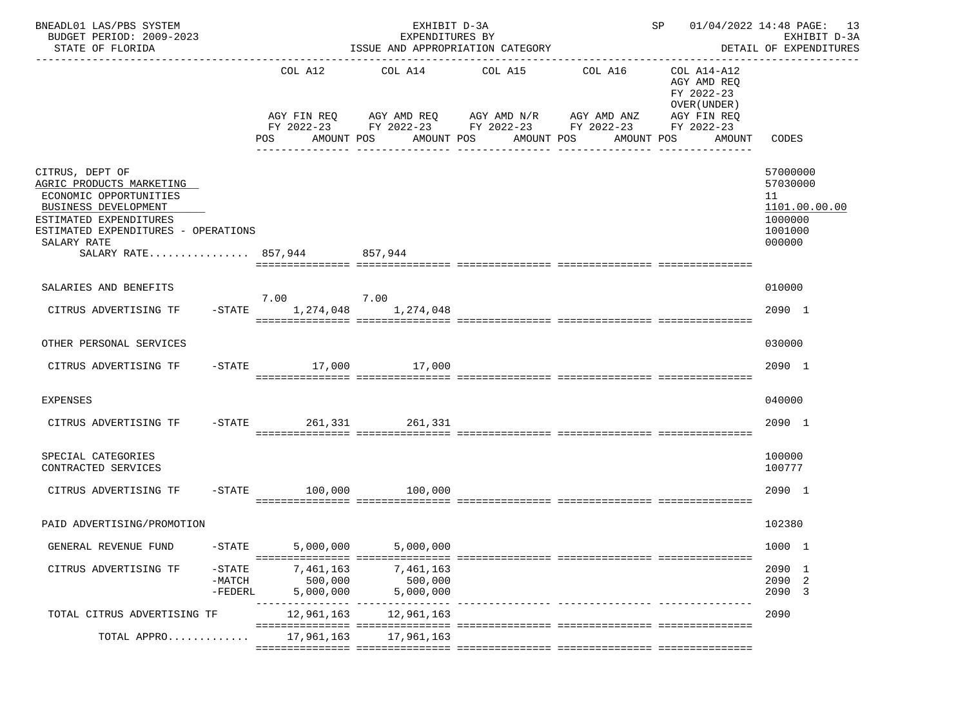| BNEADL01 LAS/PBS SYSTEM<br>BUDGET PERIOD: 2009-2023<br>STATE OF FLORIDA                                                                                                                                      |                                                | EXHIBIT D-3A<br>EXPENDITURES BY<br>ISSUE AND APPROPRIATION CATEGORY |                                                                                                                                                                                      |                                     | SP 01/04/2022 14:48 PAGE: 13<br>EXHIBIT D-3A<br>DETAIL OF EXPENDITURES |                                                                             |
|--------------------------------------------------------------------------------------------------------------------------------------------------------------------------------------------------------------|------------------------------------------------|---------------------------------------------------------------------|--------------------------------------------------------------------------------------------------------------------------------------------------------------------------------------|-------------------------------------|------------------------------------------------------------------------|-----------------------------------------------------------------------------|
|                                                                                                                                                                                                              | COL A12<br>POS                                 |                                                                     | COL A14 COL A15 COL A16<br>AGY FIN REQ AGY AMD REQ AGY AMD N/R AGY AMD ANZ AGY FIN REQ<br>FY 2022-23 FY 2022-23 FY 2022-23 FY 2022-23 FY 2022-23<br>AMOUNT POS AMOUNT POS AMOUNT POS |                                     | COL A14-A12<br>AGY AMD REQ<br>FY 2022-23<br>OVER (UNDER)<br>AMOUNT POS | AMOUNT CODES                                                                |
| CITRUS, DEPT OF<br>AGRIC PRODUCTS MARKETING<br>ECONOMIC OPPORTUNITIES<br>BUSINESS DEVELOPMENT<br>ESTIMATED EXPENDITURES<br>ESTIMATED EXPENDITURES - OPERATIONS<br>SALARY RATE<br>SALARY RATE 857.944 857.944 |                                                |                                                                     |                                                                                                                                                                                      | -------------                       |                                                                        | 57000000<br>57030000<br>11<br>1101.00.00.00<br>1000000<br>1001000<br>000000 |
| SALARIES AND BENEFITS                                                                                                                                                                                        |                                                |                                                                     |                                                                                                                                                                                      |                                     |                                                                        | 010000                                                                      |
| CITRUS ADVERTISING TF                                                                                                                                                                                        | 7.00 7.00<br>$-$ STATE 1, 274, 048 1, 274, 048 |                                                                     |                                                                                                                                                                                      |                                     |                                                                        | 2090 1                                                                      |
| OTHER PERSONAL SERVICES                                                                                                                                                                                      |                                                |                                                                     |                                                                                                                                                                                      |                                     |                                                                        | 030000                                                                      |
| CITRUS ADVERTISING TF                                                                                                                                                                                        | -STATE 17,000 17,000                           |                                                                     |                                                                                                                                                                                      |                                     |                                                                        | 2090 1                                                                      |
| <b>EXPENSES</b>                                                                                                                                                                                              |                                                |                                                                     |                                                                                                                                                                                      |                                     |                                                                        | 040000                                                                      |
| CITRUS ADVERTISING TF                                                                                                                                                                                        | -STATE 261,331 261,331                         |                                                                     |                                                                                                                                                                                      |                                     |                                                                        | 2090 1                                                                      |
| SPECIAL CATEGORIES<br>CONTRACTED SERVICES                                                                                                                                                                    |                                                |                                                                     |                                                                                                                                                                                      |                                     |                                                                        | 100000<br>100777                                                            |
| CITRUS ADVERTISING TF -STATE 100,000 100,000                                                                                                                                                                 |                                                |                                                                     |                                                                                                                                                                                      |                                     |                                                                        | 2090 1                                                                      |
| PAID ADVERTISING/PROMOTION                                                                                                                                                                                   |                                                |                                                                     |                                                                                                                                                                                      |                                     |                                                                        | 102380                                                                      |
| GENERAL REVENUE FUND<br>$-STATE$                                                                                                                                                                             | 5,000,000                                      | 5,000,000                                                           |                                                                                                                                                                                      |                                     |                                                                        | 1000 1                                                                      |
| CITRUS ADVERTISING TF<br>$-$ STATE<br>$-MATCH$<br>$-FEDERL$                                                                                                                                                  | 7,461,163<br>500,000<br>5,000,000              | 7,461,163<br>500,000<br>5,000,000                                   |                                                                                                                                                                                      |                                     |                                                                        | 2090 1<br>2090 2<br>2090 3                                                  |
| TOTAL CITRUS ADVERTISING TF                                                                                                                                                                                  | 12,961,163                                     | 12,961,163                                                          |                                                                                                                                                                                      | ------------ --------------- ------ |                                                                        | 2090                                                                        |
| TOTAL APPRO                                                                                                                                                                                                  | 17,961,163                                     | 17,961,163                                                          |                                                                                                                                                                                      |                                     |                                                                        |                                                                             |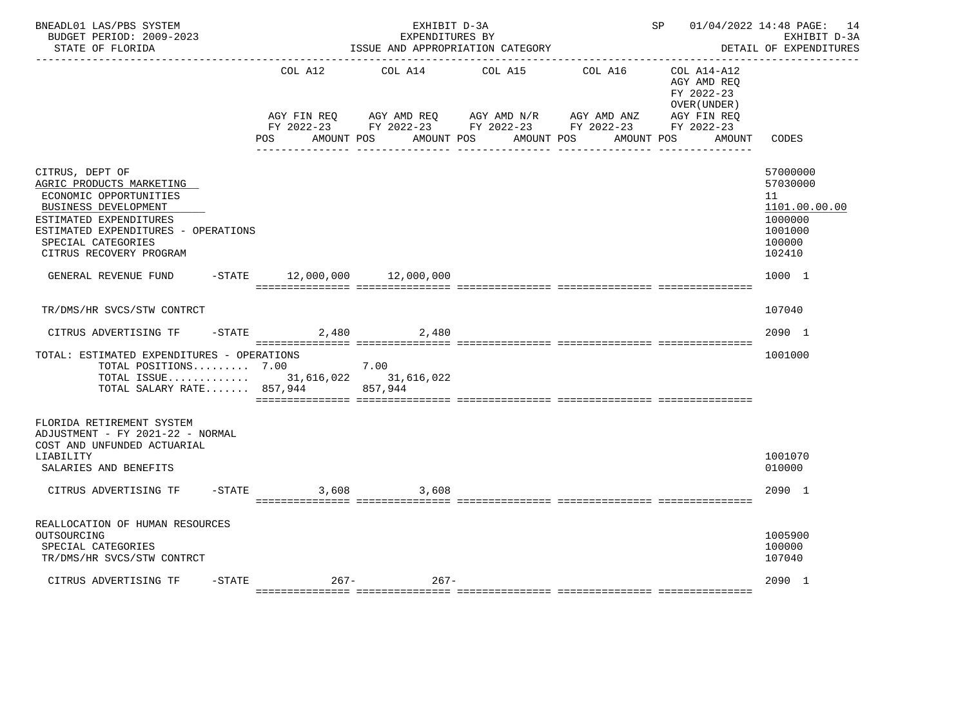| BNEADL01 LAS/PBS SYSTEM<br>BUDGET PERIOD: 2009-2023<br>STATE OF FLORIDA                                                                                                                                         |                                | EXHIBIT D-3A<br>EXPENDITURES BY | ISSUE AND APPROPRIATION CATEGORY                                                                                                                  |         | SP 01/04/2022 14:48 PAGE: 14                             | EXHIBIT D-3A<br>DETAIL OF EXPENDITURES                                                |
|-----------------------------------------------------------------------------------------------------------------------------------------------------------------------------------------------------------------|--------------------------------|---------------------------------|---------------------------------------------------------------------------------------------------------------------------------------------------|---------|----------------------------------------------------------|---------------------------------------------------------------------------------------|
|                                                                                                                                                                                                                 |                                | COL A12 COL A14 COL A15         |                                                                                                                                                   | COL A16 | COL A14-A12<br>AGY AMD REO<br>FY 2022-23<br>OVER (UNDER) |                                                                                       |
|                                                                                                                                                                                                                 | POS                            | AMOUNT POS                      | AGY FIN REQ AGY AMD REQ AGY AMD N/R AGY AMD ANZ AGY FIN REQ<br>FY 2022-23 FY 2022-23 FY 2022-23 FY 2022-23 FY 2022-23<br>AMOUNT POS<br>AMOUNT POS |         | AMOUNT POS<br>AMOUNT                                     | CODES                                                                                 |
| CITRUS, DEPT OF<br>AGRIC PRODUCTS MARKETING<br>ECONOMIC OPPORTUNITIES<br>BUSINESS DEVELOPMENT<br>ESTIMATED EXPENDITURES<br>ESTIMATED EXPENDITURES - OPERATIONS<br>SPECIAL CATEGORIES<br>CITRUS RECOVERY PROGRAM |                                |                                 |                                                                                                                                                   |         |                                                          | 57000000<br>57030000<br>11<br>1101.00.00.00<br>1000000<br>1001000<br>100000<br>102410 |
| GENERAL REVENUE FUND                                                                                                                                                                                            | $-STATE$ 12,000,000 12,000,000 |                                 |                                                                                                                                                   |         |                                                          | 1000 1                                                                                |
| TR/DMS/HR SVCS/STW CONTRCT                                                                                                                                                                                      |                                |                                 |                                                                                                                                                   |         |                                                          | 107040                                                                                |
| CITRUS ADVERTISING TF - STATE 2,480 2,480                                                                                                                                                                       |                                |                                 |                                                                                                                                                   |         |                                                          | 2090 1                                                                                |
| TOTAL: ESTIMATED EXPENDITURES - OPERATIONS<br>TOTAL POSITIONS $7.00$ $7.00$<br>TOTAL ISSUE 31,616,022 31,616,022<br>TOTAL SALARY RATE 857,944                                                                   |                                | 857,944                         |                                                                                                                                                   |         |                                                          | 1001000                                                                               |
| FLORIDA RETIREMENT SYSTEM<br>ADJUSTMENT - FY 2021-22 - NORMAL<br>COST AND UNFUNDED ACTUARIAL<br>LIABILITY<br>SALARIES AND BENEFITS                                                                              |                                |                                 |                                                                                                                                                   |         |                                                          | 1001070<br>010000                                                                     |
| CITRUS ADVERTISING TF                                                                                                                                                                                           | $-$ STATE                      | 3,608 3,608                     |                                                                                                                                                   |         |                                                          | 2090 1                                                                                |
| REALLOCATION OF HUMAN RESOURCES<br>OUTSOURCING<br>SPECIAL CATEGORIES<br>TR/DMS/HR SVCS/STW CONTRCT                                                                                                              |                                |                                 |                                                                                                                                                   |         |                                                          | 1005900<br>100000<br>107040                                                           |
| $-STATE$<br>CITRUS ADVERTISING TF                                                                                                                                                                               |                                | $267 - 267 -$                   |                                                                                                                                                   |         |                                                          | 2090 1                                                                                |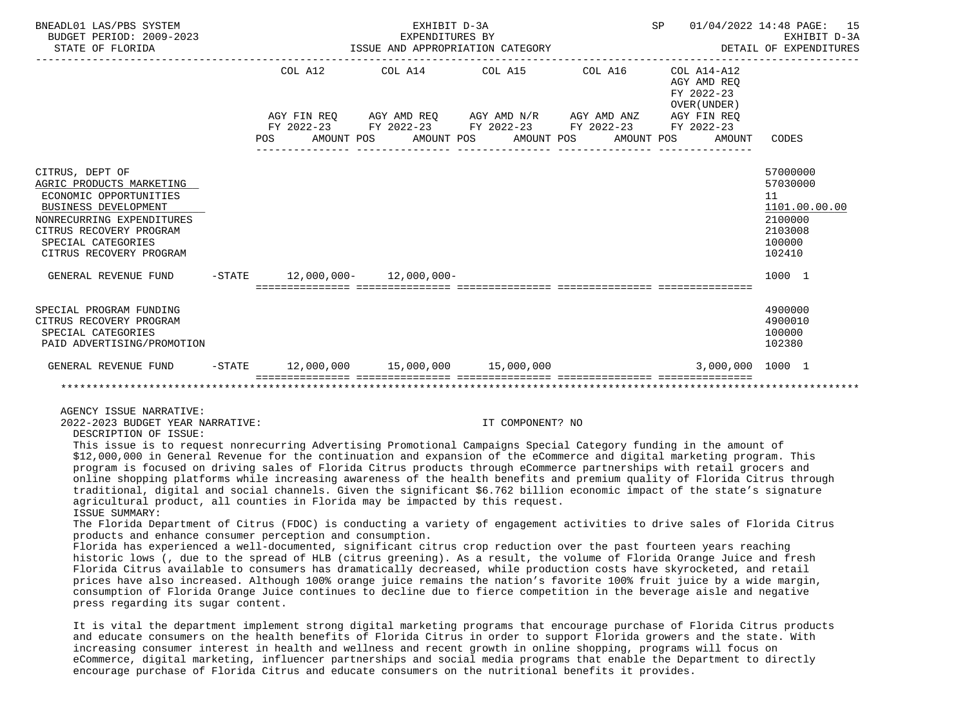| BNEADL01 LAS/PBS SYSTEM<br>BUDGET PERIOD: 2009-2023<br>STATE OF FLORIDA                                                                                                                                |     |         | EXHIBIT D-3A<br>EXPENDITURES BY<br>ISSUE AND APPROPRIATION CATEGORY                        |  |            | SP 01/04/2022 14:48 PAGE:                                | 15<br>EXHIBIT D-3A<br>DETAIL OF EXPENDITURES                                          |
|--------------------------------------------------------------------------------------------------------------------------------------------------------------------------------------------------------|-----|---------|--------------------------------------------------------------------------------------------|--|------------|----------------------------------------------------------|---------------------------------------------------------------------------------------|
|                                                                                                                                                                                                        |     | COL A12 | COL A14 COL A15 COL A16                                                                    |  |            | COL A14-A12<br>AGY AMD REO<br>FY 2022-23<br>OVER (UNDER) |                                                                                       |
|                                                                                                                                                                                                        |     |         | AGY FIN REQ AGY AMD REQ AGY AMD N/R AGY AMD ANZ AGY FIN REQ                                |  |            |                                                          |                                                                                       |
|                                                                                                                                                                                                        | POS |         | FY 2022-23 FY 2022-23 FY 2022-23 FY 2022-23 FY 2022-23<br>AMOUNT POS AMOUNT POS AMOUNT POS |  | AMOUNT POS | AMOUNT                                                   | CODES                                                                                 |
| CITRUS, DEPT OF<br>AGRIC PRODUCTS MARKETING<br>ECONOMIC OPPORTUNITIES<br>BUSINESS DEVELOPMENT<br>NONRECURRING EXPENDITURES<br>CITRUS RECOVERY PROGRAM<br>SPECIAL CATEGORIES<br>CITRUS RECOVERY PROGRAM |     |         |                                                                                            |  |            |                                                          | 57000000<br>57030000<br>11<br>1101.00.00.00<br>2100000<br>2103008<br>100000<br>102410 |
| GENERAL REVENUE FUND -STATE 12,000,000- 12,000,000-                                                                                                                                                    |     |         |                                                                                            |  |            |                                                          | 1000 1                                                                                |
|                                                                                                                                                                                                        |     |         |                                                                                            |  |            |                                                          |                                                                                       |
| SPECIAL PROGRAM FUNDING<br>CITRUS RECOVERY PROGRAM<br>SPECIAL CATEGORIES<br>PAID ADVERTISING/PROMOTION                                                                                                 |     |         |                                                                                            |  |            |                                                          | 4900000<br>4900010<br>100000<br>102380                                                |
| GENERAL REVENUE FUND -STATE 12,000,000 15,000,000 15,000,000                                                                                                                                           |     |         |                                                                                            |  |            | 3,000,000 1000 1                                         |                                                                                       |
|                                                                                                                                                                                                        |     |         |                                                                                            |  |            |                                                          |                                                                                       |

AGENCY ISSUE NARRATIVE:

2022-2023 BUDGET YEAR NARRATIVE: IT COMPONENT? NO

DESCRIPTION OF ISSUE:

 This issue is to request nonrecurring Advertising Promotional Campaigns Special Category funding in the amount of \$12,000,000 in General Revenue for the continuation and expansion of the eCommerce and digital marketing program. This program is focused on driving sales of Florida Citrus products through eCommerce partnerships with retail grocers and online shopping platforms while increasing awareness of the health benefits and premium quality of Florida Citrus through traditional, digital and social channels. Given the significant \$6.762 billion economic impact of the state's signature agricultural product, all counties in Florida may be impacted by this request. ISSUE SUMMARY:

 The Florida Department of Citrus (FDOC) is conducting a variety of engagement activities to drive sales of Florida Citrus products and enhance consumer perception and consumption.

 Florida has experienced a well-documented, significant citrus crop reduction over the past fourteen years reaching historic lows (, due to the spread of HLB (citrus greening). As a result, the volume of Florida Orange Juice and fresh Florida Citrus available to consumers has dramatically decreased, while production costs have skyrocketed, and retail prices have also increased. Although 100% orange juice remains the nation's favorite 100% fruit juice by a wide margin, consumption of Florida Orange Juice continues to decline due to fierce competition in the beverage aisle and negative press regarding its sugar content.

 It is vital the department implement strong digital marketing programs that encourage purchase of Florida Citrus products and educate consumers on the health benefits of Florida Citrus in order to support Florida growers and the state. With increasing consumer interest in health and wellness and recent growth in online shopping, programs will focus on eCommerce, digital marketing, influencer partnerships and social media programs that enable the Department to directly encourage purchase of Florida Citrus and educate consumers on the nutritional benefits it provides.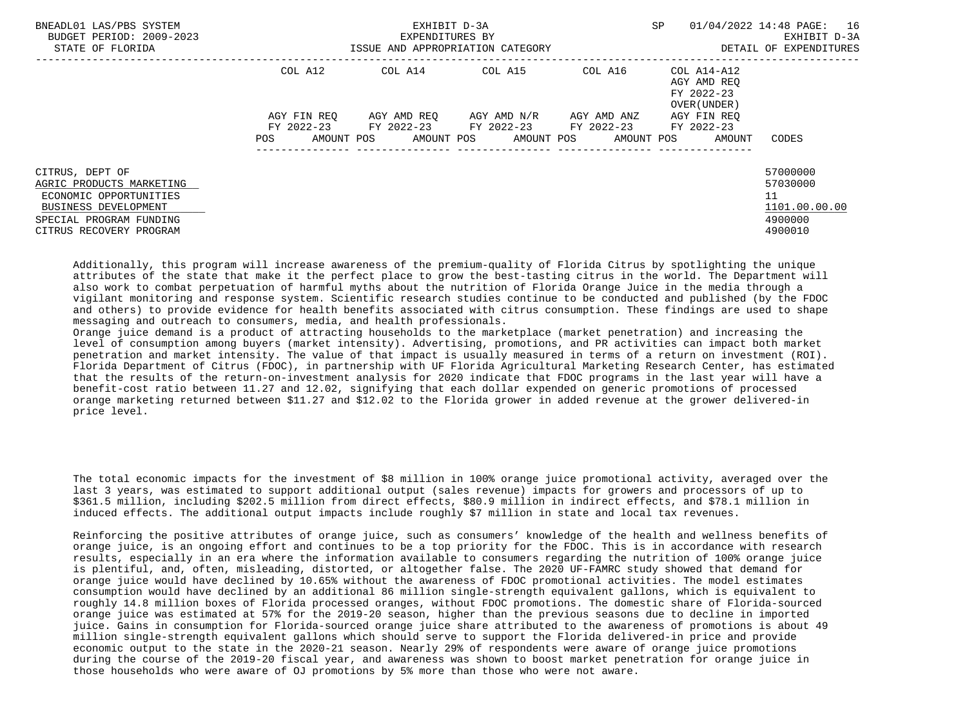| BNEADL01 LAS/PBS SYSTEM<br>BUDGET PERIOD: 2009-2023<br>STATE OF FLORIDA                                                                             |                                        | EXHIBIT D-3A<br>EXPENDITURES BY<br>ISSUE AND APPROPRIATION CATEGORY | SP.                                            | 01/04/2022 14:48 PAGE:<br>16<br>EXHIBIT D-3A<br>DETAIL OF EXPENDITURES |                                                          |                                                                   |
|-----------------------------------------------------------------------------------------------------------------------------------------------------|----------------------------------------|---------------------------------------------------------------------|------------------------------------------------|------------------------------------------------------------------------|----------------------------------------------------------|-------------------------------------------------------------------|
|                                                                                                                                                     | COL A12                                | COL A14                                                             | COL A15                                        | COL A16                                                                | COL A14-A12<br>AGY AMD REO<br>FY 2022-23<br>OVER (UNDER) |                                                                   |
|                                                                                                                                                     | AGY FIN REQ                            |                                                                     | AGY AMD REO AGY AMD N/R                        | AGY AMD ANZ                                                            | AGY FIN REO                                              |                                                                   |
|                                                                                                                                                     | FY 2022-23<br><b>POS</b><br>AMOUNT POS |                                                                     | FY 2022-23 FY 2022-23<br>AMOUNT POS AMOUNT POS | FY 2022-23<br>AMOUNT POS                                               | FY 2022-23<br>AMOUNT                                     | CODES                                                             |
|                                                                                                                                                     |                                        |                                                                     |                                                |                                                                        |                                                          |                                                                   |
| CITRUS, DEPT OF<br>AGRIC PRODUCTS MARKETING<br>ECONOMIC OPPORTUNITIES<br>BUSINESS DEVELOPMENT<br>SPECIAL PROGRAM FUNDING<br>CITRUS RECOVERY PROGRAM |                                        |                                                                     |                                                |                                                                        |                                                          | 57000000<br>57030000<br>11<br>1101.00.00.00<br>4900000<br>4900010 |

 Additionally, this program will increase awareness of the premium-quality of Florida Citrus by spotlighting the unique attributes of the state that make it the perfect place to grow the best-tasting citrus in the world. The Department will also work to combat perpetuation of harmful myths about the nutrition of Florida Orange Juice in the media through a vigilant monitoring and response system. Scientific research studies continue to be conducted and published (by the FDOC and others) to provide evidence for health benefits associated with citrus consumption. These findings are used to shape messaging and outreach to consumers, media, and health professionals.

 Orange juice demand is a product of attracting households to the marketplace (market penetration) and increasing the level of consumption among buyers (market intensity). Advertising, promotions, and PR activities can impact both market penetration and market intensity. The value of that impact is usually measured in terms of a return on investment (ROI). Florida Department of Citrus (FDOC), in partnership with UF Florida Agricultural Marketing Research Center, has estimated that the results of the return-on-investment analysis for 2020 indicate that FDOC programs in the last year will have a benefit-cost ratio between 11.27 and 12.02, signifying that each dollar expended on generic promotions of processed orange marketing returned between \$11.27 and \$12.02 to the Florida grower in added revenue at the grower delivered-in price level.

 The total economic impacts for the investment of \$8 million in 100% orange juice promotional activity, averaged over the last 3 years, was estimated to support additional output (sales revenue) impacts for growers and processors of up to \$361.5 million, including \$202.5 million from direct effects, \$80.9 million in indirect effects, and \$78.1 million in induced effects. The additional output impacts include roughly \$7 million in state and local tax revenues.

 Reinforcing the positive attributes of orange juice, such as consumers' knowledge of the health and wellness benefits of orange juice, is an ongoing effort and continues to be a top priority for the FDOC. This is in accordance with research results, especially in an era where the information available to consumers regarding the nutrition of 100% orange juice is plentiful, and, often, misleading, distorted, or altogether false. The 2020 UF-FAMRC study showed that demand for orange juice would have declined by 10.65% without the awareness of FDOC promotional activities. The model estimates consumption would have declined by an additional 86 million single-strength equivalent gallons, which is equivalent to roughly 14.8 million boxes of Florida processed oranges, without FDOC promotions. The domestic share of Florida-sourced orange juice was estimated at 57% for the 2019-20 season, higher than the previous seasons due to decline in imported juice. Gains in consumption for Florida-sourced orange juice share attributed to the awareness of promotions is about 49 million single-strength equivalent gallons which should serve to support the Florida delivered-in price and provide economic output to the state in the 2020-21 season. Nearly 29% of respondents were aware of orange juice promotions during the course of the 2019-20 fiscal year, and awareness was shown to boost market penetration for orange juice in those households who were aware of OJ promotions by 5% more than those who were not aware.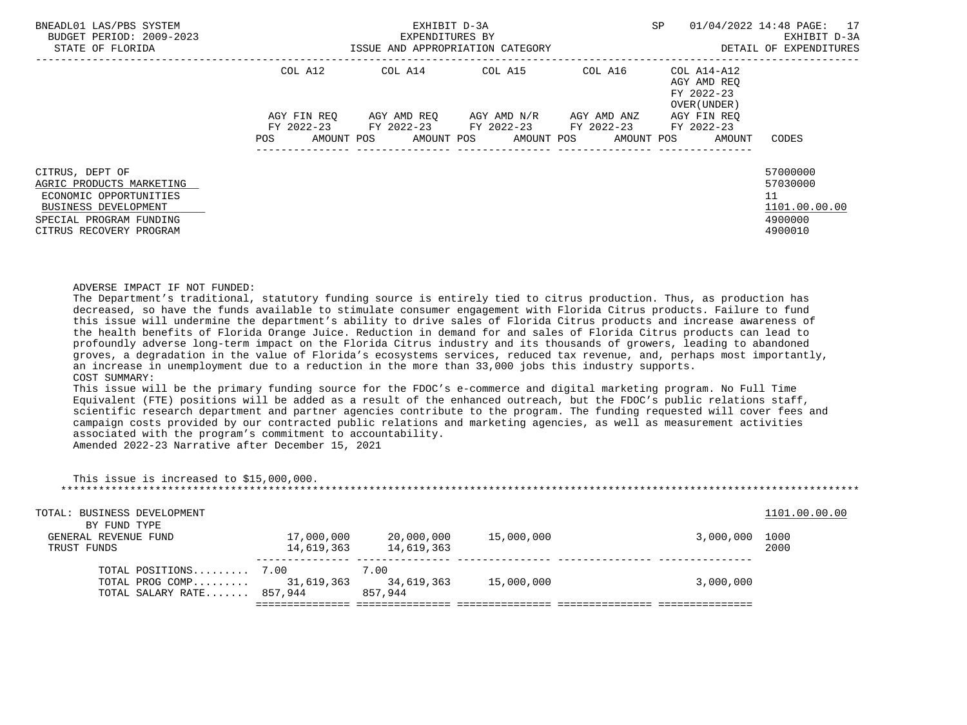| BNEADL01 LAS/PBS SYSTEM<br>BUDGET PERIOD: 2009-2023<br>STATE OF FLORIDA |                   | EXHIBIT D-3A<br>EXPENDITURES BY<br>ISSUE AND APPROPRIATION CATEGORY |                                     | <b>SP</b>             | 01/04/2022 14:48 PAGE: 17<br>EXHIBIT D-3A<br>DETAIL OF EXPENDITURES |               |
|-------------------------------------------------------------------------|-------------------|---------------------------------------------------------------------|-------------------------------------|-----------------------|---------------------------------------------------------------------|---------------|
|                                                                         | COL A12           |                                                                     | COL A14 COL A15 COL A16 COL A14-A12 |                       | AGY AMD REO<br>FY 2022-23<br>OVER (UNDER)                           |               |
|                                                                         | AGY FIN REO       |                                                                     | AGY AMD REQ AGY AMD N/R             | AGY AMD ANZ           | AGY FIN REO                                                         |               |
|                                                                         | FY 2022-23        |                                                                     | FY 2022-23 FY 2022-23               | FY 2022-23 FY 2022-23 |                                                                     |               |
|                                                                         | AMOUNT POS<br>POS |                                                                     | AMOUNT POS AMOUNT POS               |                       | AMOUNT POS<br>AMOUNT                                                | CODES         |
| CITRUS, DEPT OF                                                         |                   |                                                                     |                                     |                       |                                                                     | 57000000      |
| AGRIC PRODUCTS MARKETING                                                |                   |                                                                     |                                     |                       |                                                                     | 57030000      |
| ECONOMIC OPPORTUNITIES                                                  |                   |                                                                     |                                     |                       |                                                                     | 11            |
| BUSINESS DEVELOPMENT                                                    |                   |                                                                     |                                     |                       |                                                                     | 1101.00.00.00 |
| SPECIAL PROGRAM FUNDING                                                 |                   |                                                                     |                                     |                       |                                                                     | 4900000       |
| CITRUS RECOVERY PROGRAM                                                 |                   |                                                                     |                                     |                       |                                                                     | 4900010       |

## ADVERSE IMPACT IF NOT FUNDED:

 The Department's traditional, statutory funding source is entirely tied to citrus production. Thus, as production has decreased, so have the funds available to stimulate consumer engagement with Florida Citrus products. Failure to fund this issue will undermine the department's ability to drive sales of Florida Citrus products and increase awareness of the health benefits of Florida Orange Juice. Reduction in demand for and sales of Florida Citrus products can lead to profoundly adverse long-term impact on the Florida Citrus industry and its thousands of growers, leading to abandoned groves, a degradation in the value of Florida's ecosystems services, reduced tax revenue, and, perhaps most importantly, an increase in unemployment due to a reduction in the more than 33,000 jobs this industry supports. COST SUMMARY:

 This issue will be the primary funding source for the FDOC's e-commerce and digital marketing program. No Full Time Equivalent (FTE) positions will be added as a result of the enhanced outreach, but the FDOC's public relations staff, scientific research department and partner agencies contribute to the program. The funding requested will cover fees and campaign costs provided by our contracted public relations and marketing agencies, as well as measurement activities associated with the program's commitment to accountability.

Amended 2022-23 Narrative after December 15, 2021

| This issue is increased to \$15,000,000. |            |            |            |           |               |
|------------------------------------------|------------|------------|------------|-----------|---------------|
| TOTAL: BUSINESS DEVELOPMENT              |            |            |            |           | 1101.00.00.00 |
| BY FUND TYPE                             |            |            |            |           |               |
| GENERAL REVENUE FUND                     | 17,000,000 | 20,000,000 | 15,000,000 | 3,000,000 | 1000          |
| TRUST FUNDS                              | 14,619,363 | 14,619,363 |            |           | 2000          |
| TOTAL POSITIONS 7.00                     |            | 7.00       |            |           |               |
| TOTAL PROG COMP                          | 31,619,363 | 34,619,363 | 15,000,000 | 3,000,000 |               |
| TOTAL SALARY RATE 857,944                |            | 857,944    |            |           |               |
|                                          |            |            |            |           |               |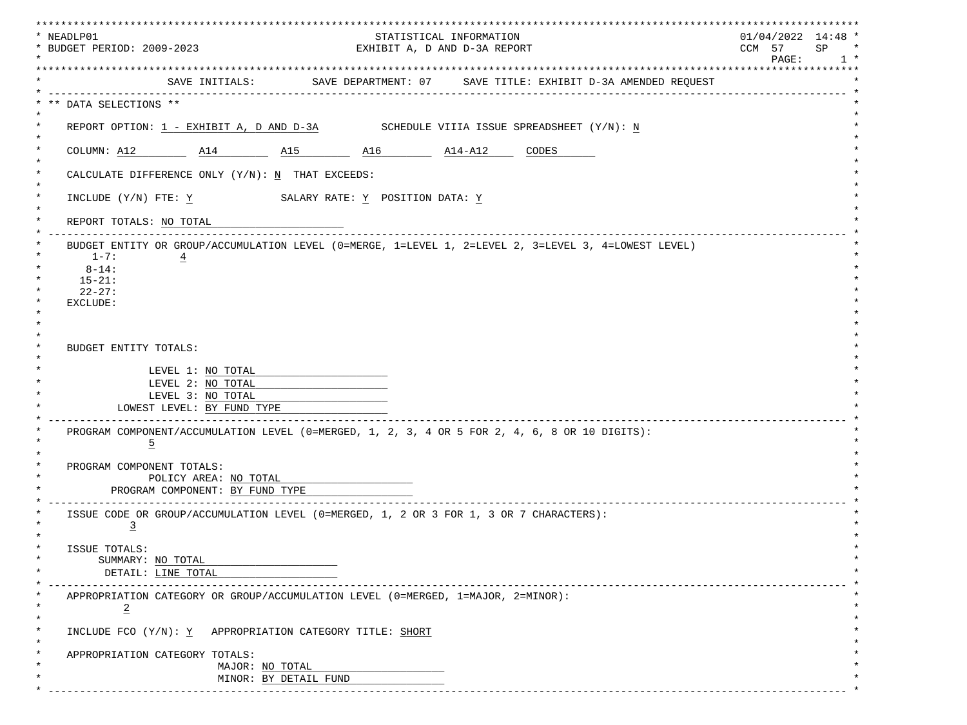| * NEADLP01<br>STATISTICAL INFORMATION<br>* BUDGET PERIOD: 2009-2023                                             | ******************<br>$01/04/2022$ 14:48 * |
|-----------------------------------------------------------------------------------------------------------------|--------------------------------------------|
| EXHIBIT A, D AND D-3A REPORT                                                                                    | CCM 57<br>SP<br>PAGE:<br>$1 *$             |
| SAVE INITIALS: SAVE DEPARTMENT: 07 SAVE TITLE: EXHIBIT D-3A AMENDED REOUEST                                     |                                            |
| --------------------<br>** DATA SELECTIONS **                                                                   |                                            |
| REPORT OPTION: $1$ - EXHIBIT A, D AND D-3A SCHEDULE VIIIA ISSUE SPREADSHEET $(Y/N): N$                          |                                            |
| COLUMN: A12 $\qquad$ A14 $\qquad$ A15 $\qquad$ A16 $\qquad$ A14-A12 CODES                                       |                                            |
| CALCULATE DIFFERENCE ONLY $(Y/N): N$ THAT EXCEEDS:                                                              |                                            |
| INCLUDE $(Y/N)$ FTE: Y SALARY RATE: Y POSITION DATA: Y                                                          |                                            |
| REPORT TOTALS: NO TOTAL                                                                                         |                                            |
| BUDGET ENTITY OR GROUP/ACCUMULATION LEVEL (0=MERGE, 1=LEVEL 1, 2=LEVEL 2, 3=LEVEL 3, 4=LOWEST LEVEL)            |                                            |
| $1 - 7:$<br>$\overline{4}$<br>$8 - 14:$                                                                         |                                            |
| $15 - 21:$                                                                                                      |                                            |
| $22 - 27:$<br>EXCLUDE:                                                                                          |                                            |
|                                                                                                                 |                                            |
|                                                                                                                 |                                            |
| BUDGET ENTITY TOTALS:                                                                                           |                                            |
|                                                                                                                 |                                            |
| LEVEL 1: NO TOTAL                                                                                               |                                            |
| LEVEL 2: NO TOTAL                                                                                               |                                            |
| LEVEL 3: NO TOTAL<br>LOWEST LEVEL: BY FUND TYPE                                                                 |                                            |
|                                                                                                                 |                                            |
| PROGRAM COMPONENT/ACCUMULATION LEVEL (0=MERGED, 1, 2, 3, 4 OR 5 FOR 2, 4, 6, 8 OR 10 DIGITS):<br>$\overline{5}$ |                                            |
| PROGRAM COMPONENT TOTALS:                                                                                       |                                            |
| POLICY AREA: NO TOTAL                                                                                           |                                            |
| PROGRAM COMPONENT: BY FUND TYPE                                                                                 |                                            |
|                                                                                                                 |                                            |
| ISSUE CODE OR GROUP/ACCUMULATION LEVEL (0=MERGED, 1, 2 OR 3 FOR 1, 3 OR 7 CHARACTERS):<br>$\overline{3}$        |                                            |
| ISSUE TOTALS:                                                                                                   |                                            |
| SUMMARY: NO TOTAL                                                                                               |                                            |
| DETAIL: LINE TOTAL                                                                                              |                                            |
| APPROPRIATION CATEGORY OR GROUP/ACCUMULATION LEVEL (0=MERGED, 1=MAJOR, 2=MINOR):                                |                                            |
| $\star$<br>$\overline{2}$                                                                                       |                                            |
| INCLUDE FCO (Y/N): Y APPROPRIATION CATEGORY TITLE: SHORT                                                        |                                            |
| APPROPRIATION CATEGORY TOTALS:                                                                                  |                                            |
| MAJOR: NO TOTAL                                                                                                 |                                            |
| MINOR: BY DETAIL FUND                                                                                           |                                            |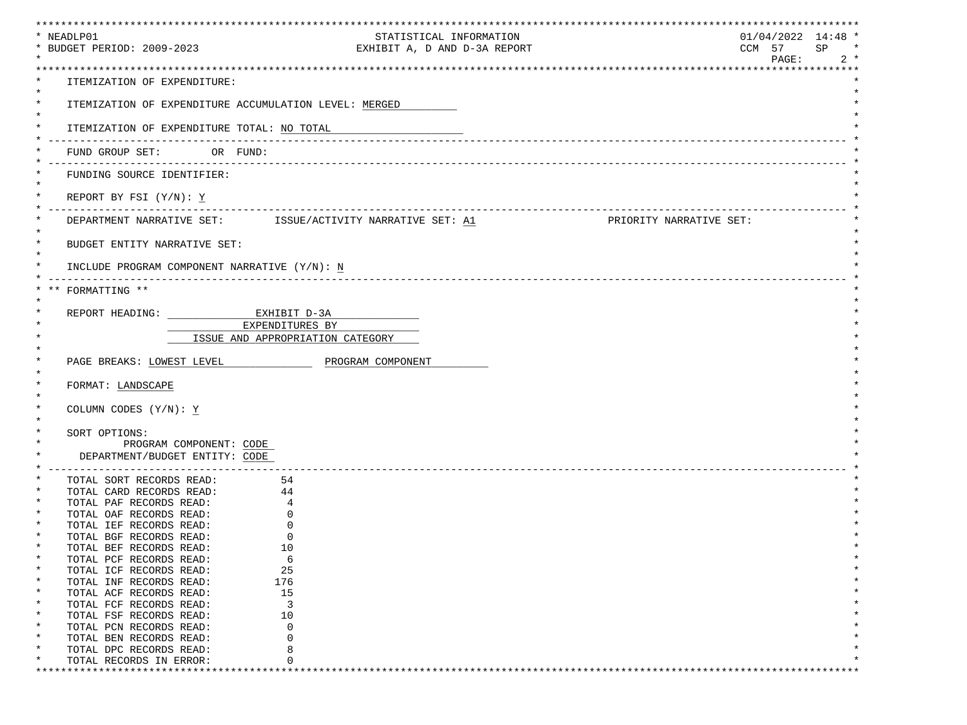| * NEADLP01                                                               | ***********************                                                                        | *****************************<br>$01/04/2022$ 14:48 * |              |
|--------------------------------------------------------------------------|------------------------------------------------------------------------------------------------|-------------------------------------------------------|--------------|
| * BUDGET PERIOD: 2009-2023                                               | STATISTICAL INFORMATION<br>EXHIBIT A, D AND D-3A REPORT                                        | CCM 57                                                | SP<br>$\ast$ |
|                                                                          |                                                                                                | PAGE:                                                 | $2 *$        |
|                                                                          |                                                                                                |                                                       |              |
| ITEMIZATION OF EXPENDITURE:                                              |                                                                                                |                                                       |              |
| $^\star$                                                                 |                                                                                                |                                                       |              |
| $\ast$                                                                   | ITEMIZATION OF EXPENDITURE ACCUMULATION LEVEL: MERGED                                          |                                                       |              |
| ITEMIZATION OF EXPENDITURE TOTAL: NO TOTAL                               |                                                                                                |                                                       |              |
|                                                                          |                                                                                                |                                                       |              |
| FUND GROUP SET: OR FUND:                                                 |                                                                                                |                                                       |              |
|                                                                          |                                                                                                |                                                       |              |
| FUNDING SOURCE IDENTIFIER:                                               |                                                                                                |                                                       |              |
|                                                                          |                                                                                                |                                                       |              |
| REPORT BY FSI $(Y/N): Y$                                                 |                                                                                                |                                                       |              |
|                                                                          | DEPARTMENT NARRATIVE SET: $\qquad$ ISSUE/ACTIVITY NARRATIVE SET: A1<br>PRIORITY NARRATIVE SET: |                                                       |              |
|                                                                          |                                                                                                |                                                       |              |
| $^\star$<br>BUDGET ENTITY NARRATIVE SET:                                 |                                                                                                |                                                       |              |
|                                                                          |                                                                                                |                                                       |              |
| INCLUDE PROGRAM COMPONENT NARRATIVE (Y/N): N                             |                                                                                                |                                                       |              |
|                                                                          |                                                                                                |                                                       |              |
| FORMATTING **                                                            |                                                                                                |                                                       |              |
| REPORT HEADING: EXHIBIT D-3A                                             |                                                                                                |                                                       |              |
|                                                                          | EXPENDITURES BY                                                                                |                                                       |              |
|                                                                          | ISSUE AND APPROPRIATION CATEGORY                                                               |                                                       |              |
|                                                                          |                                                                                                |                                                       |              |
| PAGE BREAKS: LOWEST LEVEL                                                | PROGRAM COMPONENT                                                                              |                                                       |              |
|                                                                          |                                                                                                |                                                       |              |
| FORMAT: LANDSCAPE                                                        |                                                                                                |                                                       |              |
| COLUMN CODES (Y/N): Y                                                    |                                                                                                |                                                       |              |
|                                                                          |                                                                                                |                                                       |              |
| SORT OPTIONS:                                                            |                                                                                                |                                                       |              |
| PROGRAM COMPONENT: CODE                                                  |                                                                                                |                                                       |              |
| DEPARTMENT/BUDGET ENTITY: CODE                                           |                                                                                                |                                                       |              |
| __________________________________                                       |                                                                                                |                                                       |              |
| TOTAL SORT RECORDS READ:                                                 | 54                                                                                             |                                                       |              |
| TOTAL CARD RECORDS READ: 44                                              |                                                                                                |                                                       |              |
| TOTAL PAF RECORDS READ:<br>TOTAL OAF RECORDS READ:                       | 4<br>$\Omega$                                                                                  |                                                       |              |
| TOTAL IEF RECORDS READ:                                                  | 0                                                                                              |                                                       |              |
| TOTAL BGF RECORDS READ:                                                  | $\Omega$                                                                                       |                                                       |              |
| TOTAL BEF RECORDS READ:                                                  | 10                                                                                             |                                                       |              |
| $^\star$<br>TOTAL PCF RECORDS READ:                                      | 6                                                                                              |                                                       |              |
| $\ast$<br>TOTAL ICF RECORDS READ:                                        | 25                                                                                             |                                                       |              |
| $^\star$<br>TOTAL INF RECORDS READ:<br>TOTAL ACF RECORDS READ:<br>$\ast$ | 176<br>15                                                                                      |                                                       |              |
| $^\star$<br>TOTAL FCF RECORDS READ:                                      | 3                                                                                              |                                                       |              |
| $\ast$<br>TOTAL FSF RECORDS READ:                                        | 10                                                                                             |                                                       |              |
| $\ast$<br>TOTAL PCN RECORDS READ:                                        | $\Omega$                                                                                       |                                                       |              |
| $\ast$<br>TOTAL BEN RECORDS READ:                                        | $\Omega$                                                                                       |                                                       |              |
| $^\star$<br>TOTAL DPC RECORDS READ:                                      | 8                                                                                              |                                                       |              |
|                                                                          |                                                                                                |                                                       |              |
| TOTAL RECORDS IN ERROR:                                                  | U                                                                                              |                                                       |              |